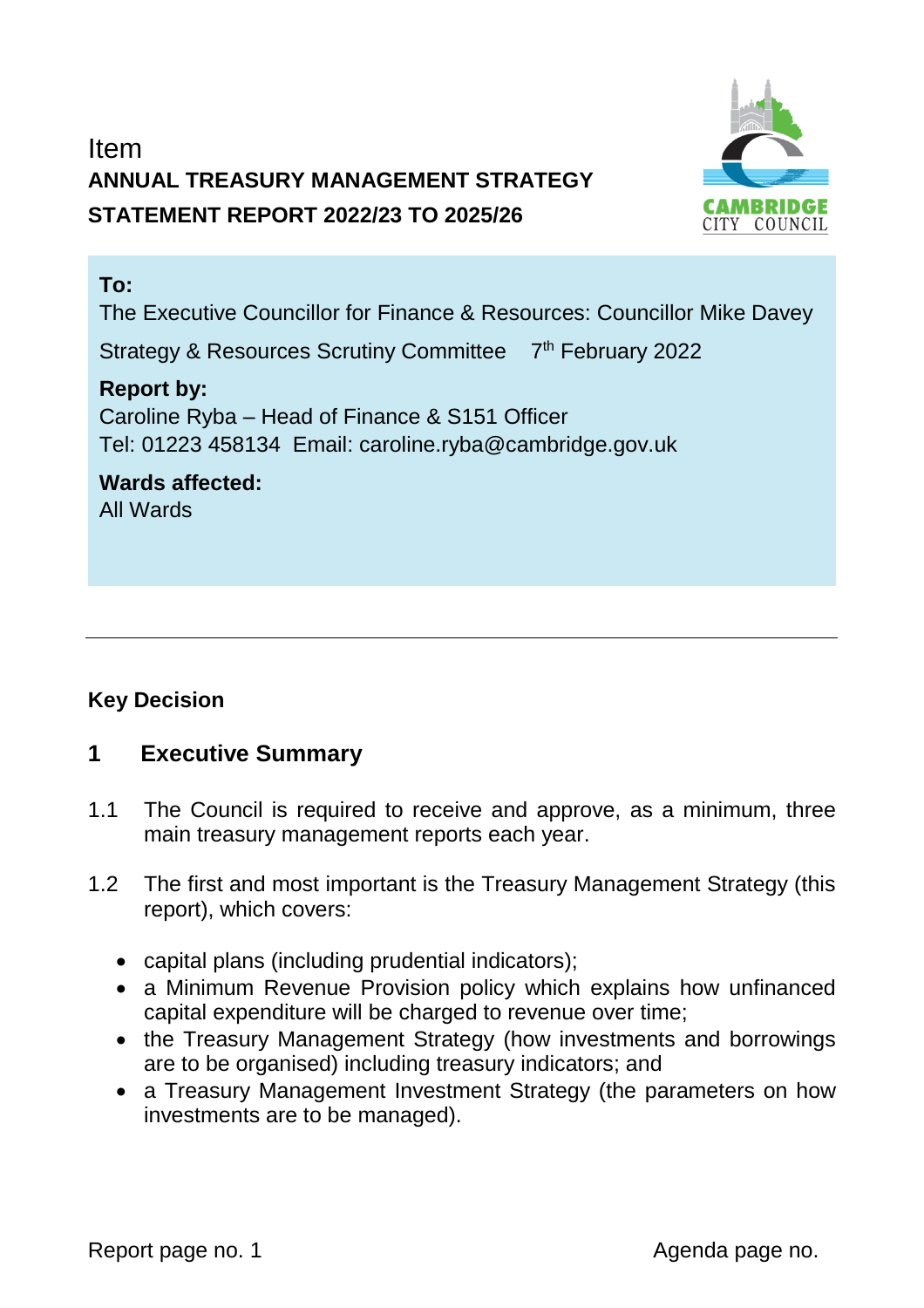# Item **ANNUAL TREASURY MANAGEMENT STRATEGY STATEMENT REPORT 2022/23 TO 2025/26**



## **To:**

The Executive Councillor for Finance & Resources: Councillor Mike Davey

Strategy & Resources Scrutiny Committee 7<sup>th</sup> February 2022

## **Report by:**

Caroline Ryba – Head of Finance & S151 Officer Tel: 01223 458134 Email: caroline.ryba@cambridge.gov.uk

#### **Wards affected:**  All Wards

## **Key Decision**

## **1 Executive Summary**

- 1.1 The Council is required to receive and approve, as a minimum, three main treasury management reports each year.
- 1.2 The first and most important is the Treasury Management Strategy (this report), which covers:
	- capital plans (including prudential indicators);
	- a Minimum Revenue Provision policy which explains how unfinanced capital expenditure will be charged to revenue over time;
	- the Treasury Management Strategy (how investments and borrowings are to be organised) including treasury indicators; and
	- a Treasury Management Investment Strategy (the parameters on how investments are to be managed).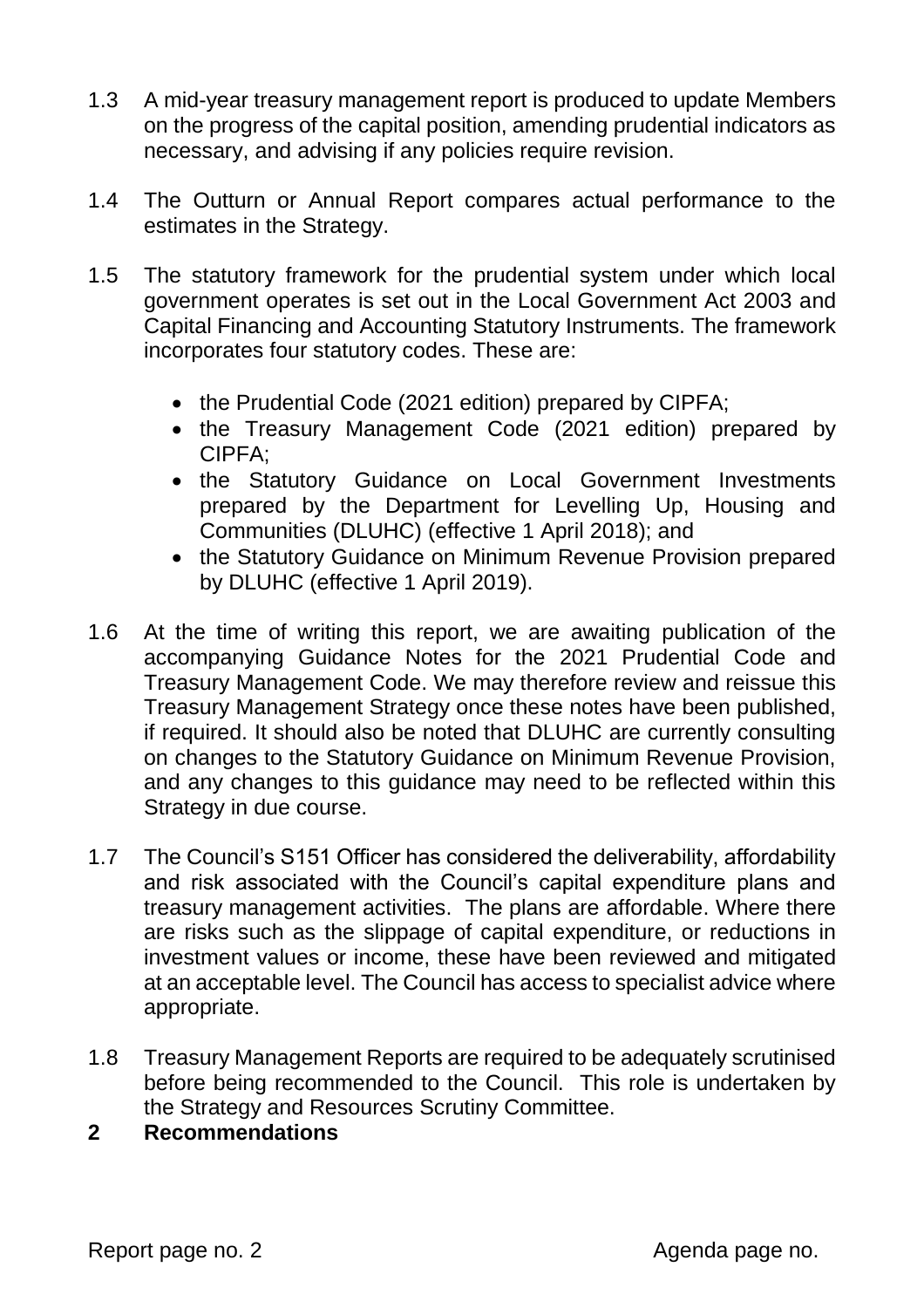- 1.3 A mid-year treasury management report is produced to update Members on the progress of the capital position, amending prudential indicators as necessary, and advising if any policies require revision.
- 1.4 The Outturn or Annual Report compares actual performance to the estimates in the Strategy.
- 1.5 The statutory framework for the prudential system under which local government operates is set out in the Local Government Act 2003 and Capital Financing and Accounting Statutory Instruments. The framework incorporates four statutory codes. These are:
	- the Prudential Code (2021 edition) prepared by CIPFA;
	- the Treasury Management Code (2021 edition) prepared by CIPFA;
	- the Statutory Guidance on Local Government Investments prepared by the Department for Levelling Up, Housing and Communities (DLUHC) (effective 1 April 2018); and
	- the Statutory Guidance on Minimum Revenue Provision prepared by DLUHC (effective 1 April 2019).
- 1.6 At the time of writing this report, we are awaiting publication of the accompanying Guidance Notes for the 2021 Prudential Code and Treasury Management Code. We may therefore review and reissue this Treasury Management Strategy once these notes have been published, if required. It should also be noted that DLUHC are currently consulting on changes to the Statutory Guidance on Minimum Revenue Provision, and any changes to this guidance may need to be reflected within this Strategy in due course.
- 1.7 The Council's S151 Officer has considered the deliverability, affordability and risk associated with the Council's capital expenditure plans and treasury management activities. The plans are affordable. Where there are risks such as the slippage of capital expenditure, or reductions in investment values or income, these have been reviewed and mitigated at an acceptable level. The Council has access to specialist advice where appropriate.
- 1.8 Treasury Management Reports are required to be adequately scrutinised before being recommended to the Council. This role is undertaken by the Strategy and Resources Scrutiny Committee.
- **2 Recommendations**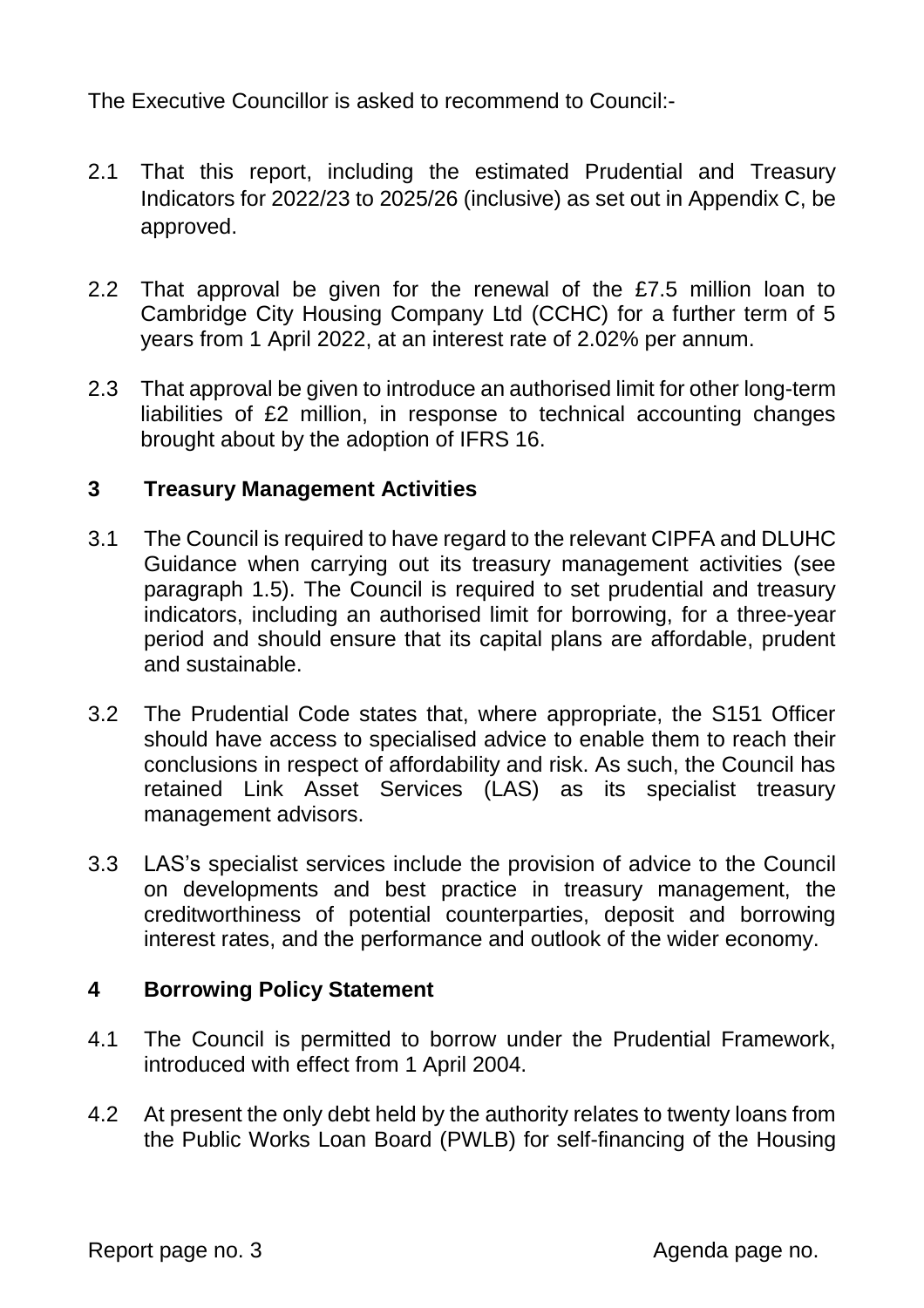The Executive Councillor is asked to recommend to Council:-

- 2.1 That this report, including the estimated Prudential and Treasury Indicators for 2022/23 to 2025/26 (inclusive) as set out in Appendix C, be approved.
- 2.2 That approval be given for the renewal of the £7.5 million loan to Cambridge City Housing Company Ltd (CCHC) for a further term of 5 years from 1 April 2022, at an interest rate of 2.02% per annum.
- 2.3 That approval be given to introduce an authorised limit for other long-term liabilities of £2 million, in response to technical accounting changes brought about by the adoption of IFRS 16.

## **3 Treasury Management Activities**

- 3.1 The Council is required to have regard to the relevant CIPFA and DLUHC Guidance when carrying out its treasury management activities (see paragraph 1.5). The Council is required to set prudential and treasury indicators, including an authorised limit for borrowing, for a three-year period and should ensure that its capital plans are affordable, prudent and sustainable.
- 3.2 The Prudential Code states that, where appropriate, the S151 Officer should have access to specialised advice to enable them to reach their conclusions in respect of affordability and risk. As such, the Council has retained Link Asset Services (LAS) as its specialist treasury management advisors.
- 3.3 LAS's specialist services include the provision of advice to the Council on developments and best practice in treasury management, the creditworthiness of potential counterparties, deposit and borrowing interest rates, and the performance and outlook of the wider economy.

## **4 Borrowing Policy Statement**

- 4.1 The Council is permitted to borrow under the Prudential Framework, introduced with effect from 1 April 2004.
- 4.2 At present the only debt held by the authority relates to twenty loans from the Public Works Loan Board (PWLB) for self-financing of the Housing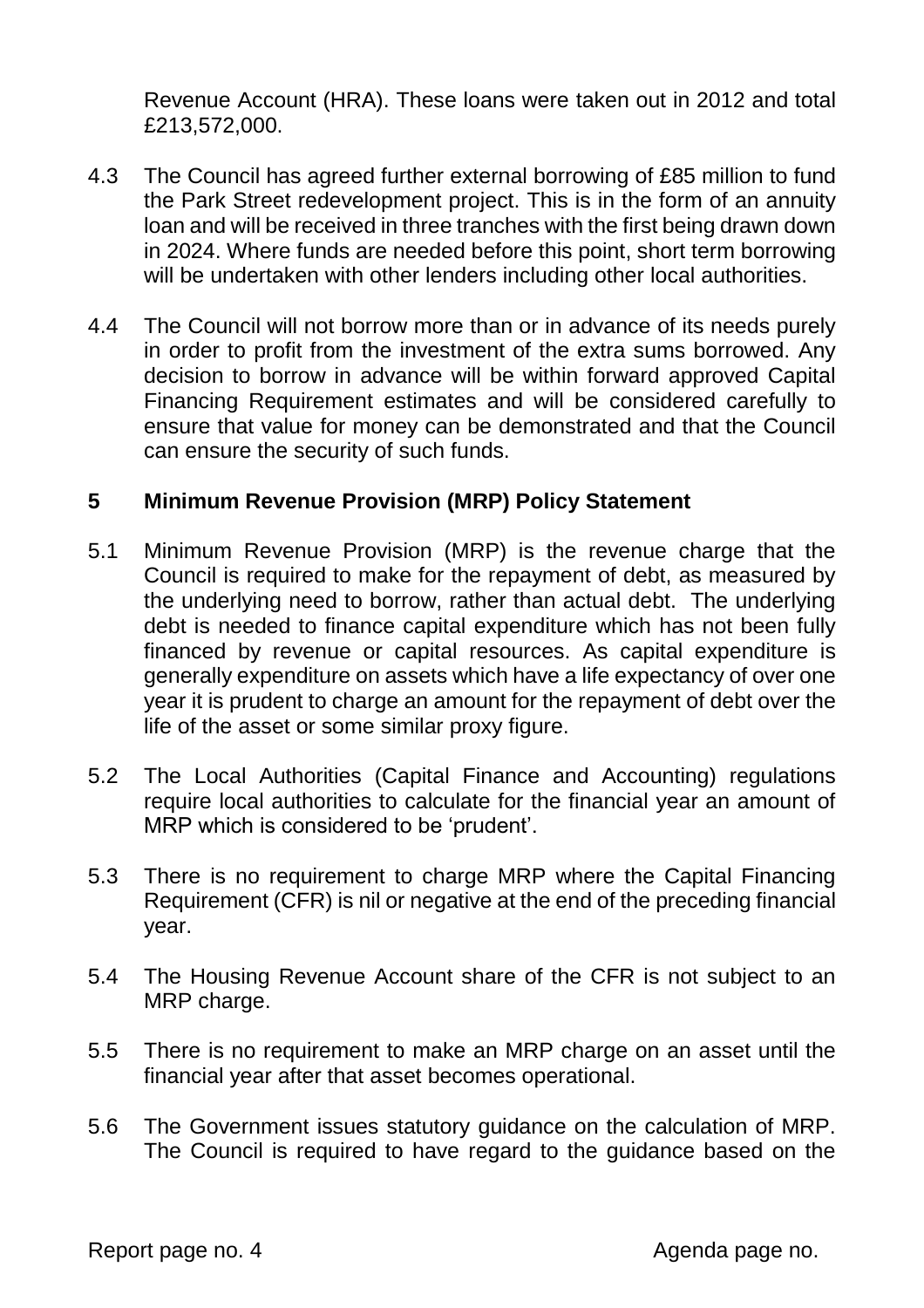Revenue Account (HRA). These loans were taken out in 2012 and total £213,572,000.

- 4.3 The Council has agreed further external borrowing of £85 million to fund the Park Street redevelopment project. This is in the form of an annuity loan and will be received in three tranches with the first being drawn down in 2024. Where funds are needed before this point, short term borrowing will be undertaken with other lenders including other local authorities.
- 4.4 The Council will not borrow more than or in advance of its needs purely in order to profit from the investment of the extra sums borrowed. Any decision to borrow in advance will be within forward approved Capital Financing Requirement estimates and will be considered carefully to ensure that value for money can be demonstrated and that the Council can ensure the security of such funds.

#### **5 Minimum Revenue Provision (MRP) Policy Statement**

- 5.1 Minimum Revenue Provision (MRP) is the revenue charge that the Council is required to make for the repayment of debt, as measured by the underlying need to borrow, rather than actual debt. The underlying debt is needed to finance capital expenditure which has not been fully financed by revenue or capital resources. As capital expenditure is generally expenditure on assets which have a life expectancy of over one year it is prudent to charge an amount for the repayment of debt over the life of the asset or some similar proxy figure.
- 5.2 The Local Authorities (Capital Finance and Accounting) regulations require local authorities to calculate for the financial year an amount of MRP which is considered to be 'prudent'.
- 5.3 There is no requirement to charge MRP where the Capital Financing Requirement (CFR) is nil or negative at the end of the preceding financial year.
- 5.4 The Housing Revenue Account share of the CFR is not subject to an MRP charge.
- 5.5 There is no requirement to make an MRP charge on an asset until the financial year after that asset becomes operational.
- 5.6 The Government issues statutory guidance on the calculation of MRP. The Council is required to have regard to the guidance based on the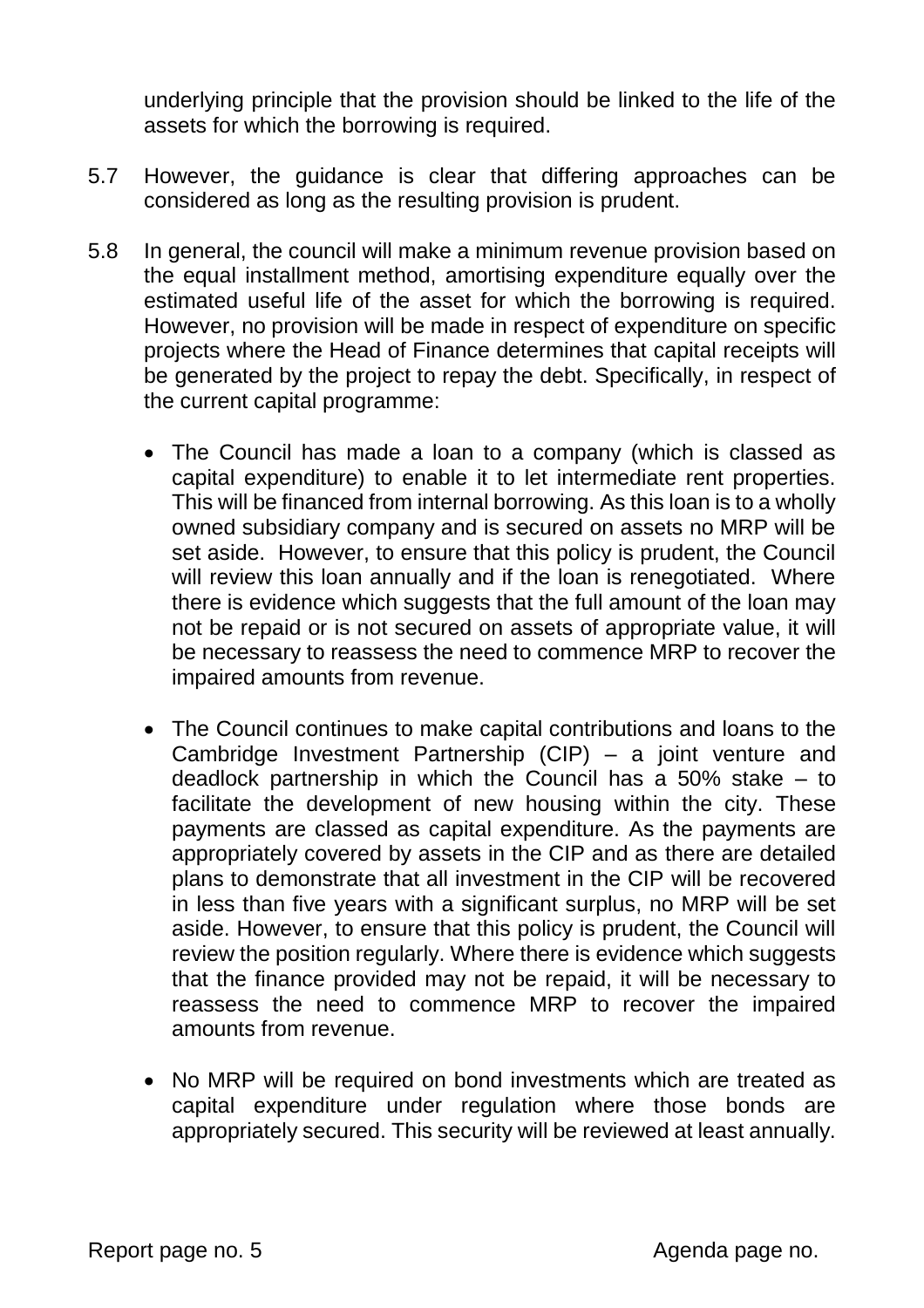underlying principle that the provision should be linked to the life of the assets for which the borrowing is required.

- 5.7 However, the guidance is clear that differing approaches can be considered as long as the resulting provision is prudent.
- 5.8 In general, the council will make a minimum revenue provision based on the equal installment method, amortising expenditure equally over the estimated useful life of the asset for which the borrowing is required. However, no provision will be made in respect of expenditure on specific projects where the Head of Finance determines that capital receipts will be generated by the project to repay the debt. Specifically, in respect of the current capital programme:
	- The Council has made a loan to a company (which is classed as capital expenditure) to enable it to let intermediate rent properties. This will be financed from internal borrowing. As this loan is to a wholly owned subsidiary company and is secured on assets no MRP will be set aside. However, to ensure that this policy is prudent, the Council will review this loan annually and if the loan is renegotiated. Where there is evidence which suggests that the full amount of the loan may not be repaid or is not secured on assets of appropriate value, it will be necessary to reassess the need to commence MRP to recover the impaired amounts from revenue.
	- The Council continues to make capital contributions and loans to the Cambridge Investment Partnership (CIP) – a joint venture and deadlock partnership in which the Council has a 50% stake – to facilitate the development of new housing within the city. These payments are classed as capital expenditure. As the payments are appropriately covered by assets in the CIP and as there are detailed plans to demonstrate that all investment in the CIP will be recovered in less than five years with a significant surplus, no MRP will be set aside. However, to ensure that this policy is prudent, the Council will review the position regularly. Where there is evidence which suggests that the finance provided may not be repaid, it will be necessary to reassess the need to commence MRP to recover the impaired amounts from revenue.
	- No MRP will be required on bond investments which are treated as capital expenditure under regulation where those bonds are appropriately secured. This security will be reviewed at least annually.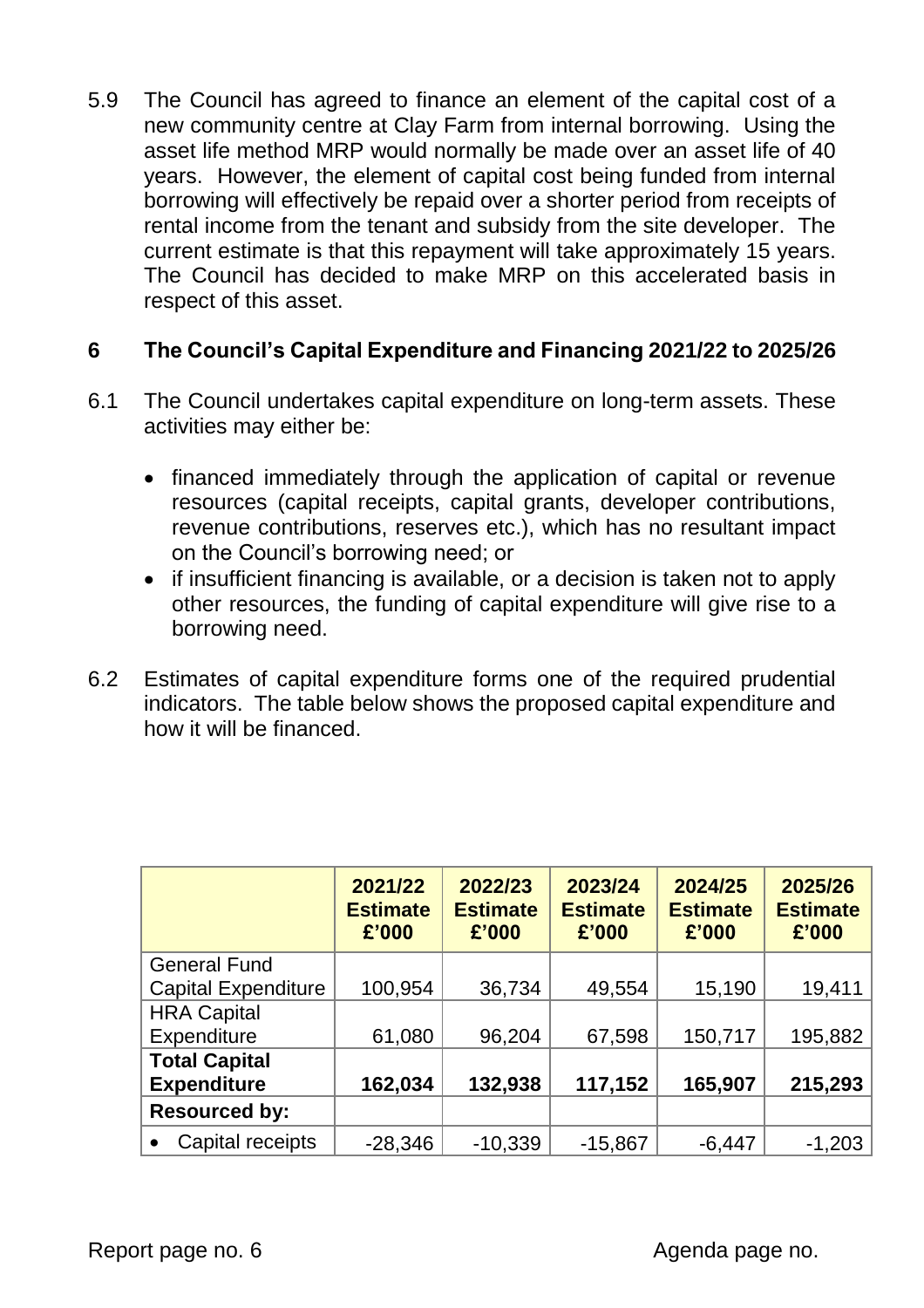5.9 The Council has agreed to finance an element of the capital cost of a new community centre at Clay Farm from internal borrowing. Using the asset life method MRP would normally be made over an asset life of 40 years. However, the element of capital cost being funded from internal borrowing will effectively be repaid over a shorter period from receipts of rental income from the tenant and subsidy from the site developer. The current estimate is that this repayment will take approximately 15 years. The Council has decided to make MRP on this accelerated basis in respect of this asset.

## **6 The Council's Capital Expenditure and Financing 2021/22 to 2025/26**

- 6.1 The Council undertakes capital expenditure on long-term assets. These activities may either be:
	- financed immediately through the application of capital or revenue resources (capital receipts, capital grants, developer contributions, revenue contributions, reserves etc.), which has no resultant impact on the Council's borrowing need; or
	- if insufficient financing is available, or a decision is taken not to apply other resources, the funding of capital expenditure will give rise to a borrowing need.
- 6.2 Estimates of capital expenditure forms one of the required prudential indicators. The table below shows the proposed capital expenditure and how it will be financed.

|                            | 2021/22<br><b>Estimate</b><br>£'000 | 2022/23<br><b>Estimate</b><br>£'000 | 2023/24<br><b>Estimate</b><br>£'000 | 2024/25<br><b>Estimate</b><br>£'000 | 2025/26<br><b>Estimate</b><br>£'000 |
|----------------------------|-------------------------------------|-------------------------------------|-------------------------------------|-------------------------------------|-------------------------------------|
| <b>General Fund</b>        |                                     |                                     |                                     |                                     |                                     |
| <b>Capital Expenditure</b> | 100,954                             | 36,734                              | 49,554                              | 15,190                              | 19,411                              |
| <b>HRA Capital</b>         |                                     |                                     |                                     |                                     |                                     |
| Expenditure                | 61,080                              | 96,204                              | 67,598                              | 150,717                             | 195,882                             |
| <b>Total Capital</b>       |                                     |                                     |                                     |                                     |                                     |
| <b>Expenditure</b>         | 162,034                             | 132,938                             | 117,152                             | 165,907                             | 215,293                             |
| <b>Resourced by:</b>       |                                     |                                     |                                     |                                     |                                     |
| Capital receipts           | $-28,346$                           | $-10,339$                           | $-15,867$                           | $-6,447$                            | $-1,203$                            |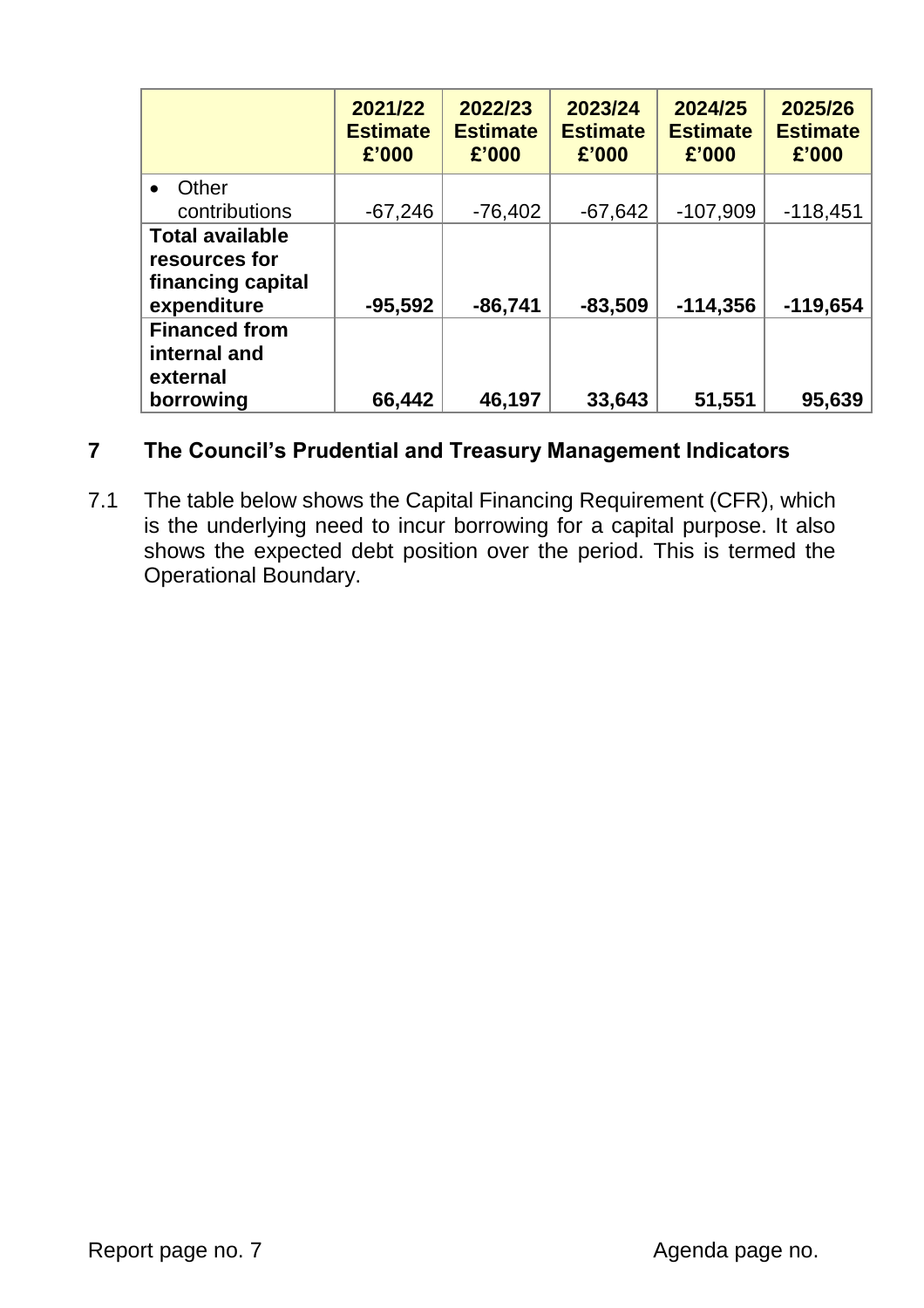|                                                                             | 2021/22<br><b>Estimate</b><br>£'000 | 2022/23<br><b>Estimate</b><br>£'000 | 2023/24<br><b>Estimate</b><br>£'000 | 2024/25<br><b>Estimate</b><br>£'000 | 2025/26<br><b>Estimate</b><br>£'000 |
|-----------------------------------------------------------------------------|-------------------------------------|-------------------------------------|-------------------------------------|-------------------------------------|-------------------------------------|
| Other<br>contributions                                                      | $-67,246$                           | $-76,402$                           | $-67,642$                           | $-107,909$                          | $-118,451$                          |
| <b>Total available</b><br>resources for<br>financing capital<br>expenditure | $-95,592$                           | $-86,741$                           | $-83,509$                           | $-114,356$                          | $-119,654$                          |
| <b>Financed from</b><br>internal and<br>external<br>borrowing               | 66,442                              | 46,197                              | 33,643                              | 51,551                              | 95,639                              |

## **7 The Council's Prudential and Treasury Management Indicators**

7.1 The table below shows the Capital Financing Requirement (CFR), which is the underlying need to incur borrowing for a capital purpose. It also shows the expected debt position over the period. This is termed the Operational Boundary.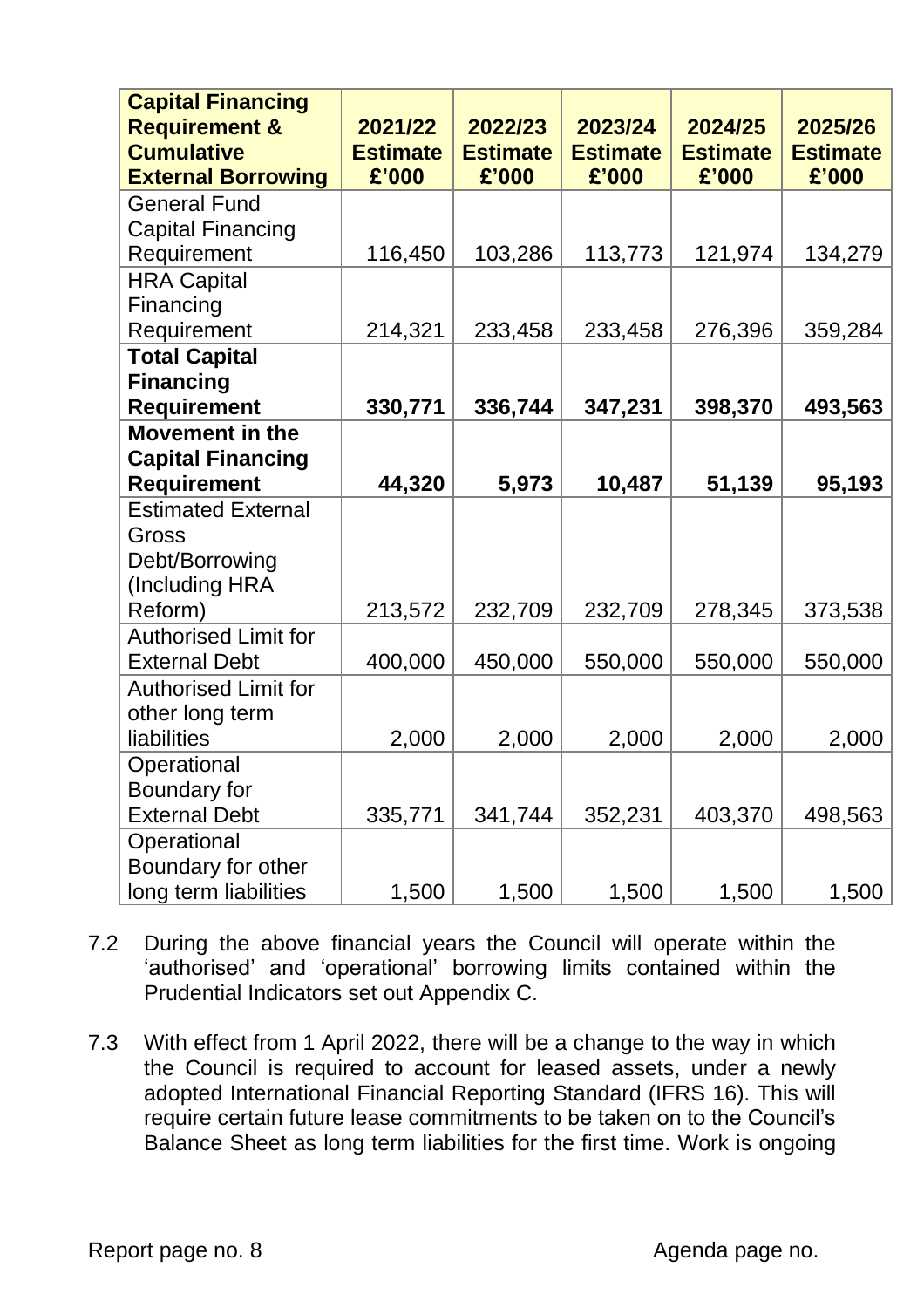| <b>Capital Financing</b><br><b>Requirement &amp;</b><br><b>Cumulative</b> | 2021/22<br><b>Estimate</b> | 2022/23<br><b>Estimate</b> | 2023/24<br><b>Estimate</b> | 2024/25<br><b>Estimate</b> | 2025/26<br><b>Estimate</b> |
|---------------------------------------------------------------------------|----------------------------|----------------------------|----------------------------|----------------------------|----------------------------|
| <b>External Borrowing</b>                                                 | £'000                      | £'000                      | £'000                      | £'000                      | £'000                      |
| <b>General Fund</b>                                                       |                            |                            |                            |                            |                            |
| <b>Capital Financing</b>                                                  |                            |                            |                            |                            |                            |
| Requirement                                                               | 116,450                    | 103,286                    | 113,773                    | 121,974                    | 134,279                    |
| <b>HRA Capital</b>                                                        |                            |                            |                            |                            |                            |
| Financing                                                                 |                            |                            |                            |                            |                            |
| Requirement                                                               | 214,321                    | 233,458                    | 233,458                    | 276,396                    | 359,284                    |
| <b>Total Capital</b>                                                      |                            |                            |                            |                            |                            |
| <b>Financing</b>                                                          |                            |                            |                            |                            |                            |
| <b>Requirement</b>                                                        | 330,771                    | 336,744                    | 347,231                    | 398,370                    | 493,563                    |
| <b>Movement in the</b>                                                    |                            |                            |                            |                            |                            |
| <b>Capital Financing</b>                                                  |                            |                            |                            |                            |                            |
| <b>Requirement</b>                                                        | 44,320                     | 5,973                      | 10,487                     | 51,139                     | 95,193                     |
| <b>Estimated External</b>                                                 |                            |                            |                            |                            |                            |
| Gross                                                                     |                            |                            |                            |                            |                            |
| Debt/Borrowing                                                            |                            |                            |                            |                            |                            |
| (Including HRA                                                            |                            |                            |                            |                            |                            |
| Reform)                                                                   | 213,572                    | 232,709                    | 232,709                    | 278,345                    | 373,538                    |
| <b>Authorised Limit for</b>                                               |                            |                            |                            |                            |                            |
| <b>External Debt</b>                                                      | 400,000                    | 450,000                    | 550,000                    | 550,000                    | 550,000                    |
| <b>Authorised Limit for</b>                                               |                            |                            |                            |                            |                            |
| other long term                                                           |                            |                            |                            |                            |                            |
| liabilities                                                               | 2,000                      | 2,000                      | 2,000                      | 2,000                      | 2,000                      |
| Operational                                                               |                            |                            |                            |                            |                            |
| Boundary for                                                              |                            |                            |                            |                            |                            |
| <b>External Debt</b>                                                      | 335,771                    | 341,744                    | 352,231                    | 403,370                    | 498,563                    |
| Operational                                                               |                            |                            |                            |                            |                            |
| Boundary for other                                                        |                            |                            |                            |                            |                            |
| long term liabilities                                                     | 1,500                      | 1,500                      | 1,500                      | 1,500                      | 1,500                      |

- 7.2 During the above financial years the Council will operate within the 'authorised' and 'operational' borrowing limits contained within the Prudential Indicators set out Appendix C.
- 7.3 With effect from 1 April 2022, there will be a change to the way in which the Council is required to account for leased assets, under a newly adopted International Financial Reporting Standard (IFRS 16). This will require certain future lease commitments to be taken on to the Council's Balance Sheet as long term liabilities for the first time. Work is ongoing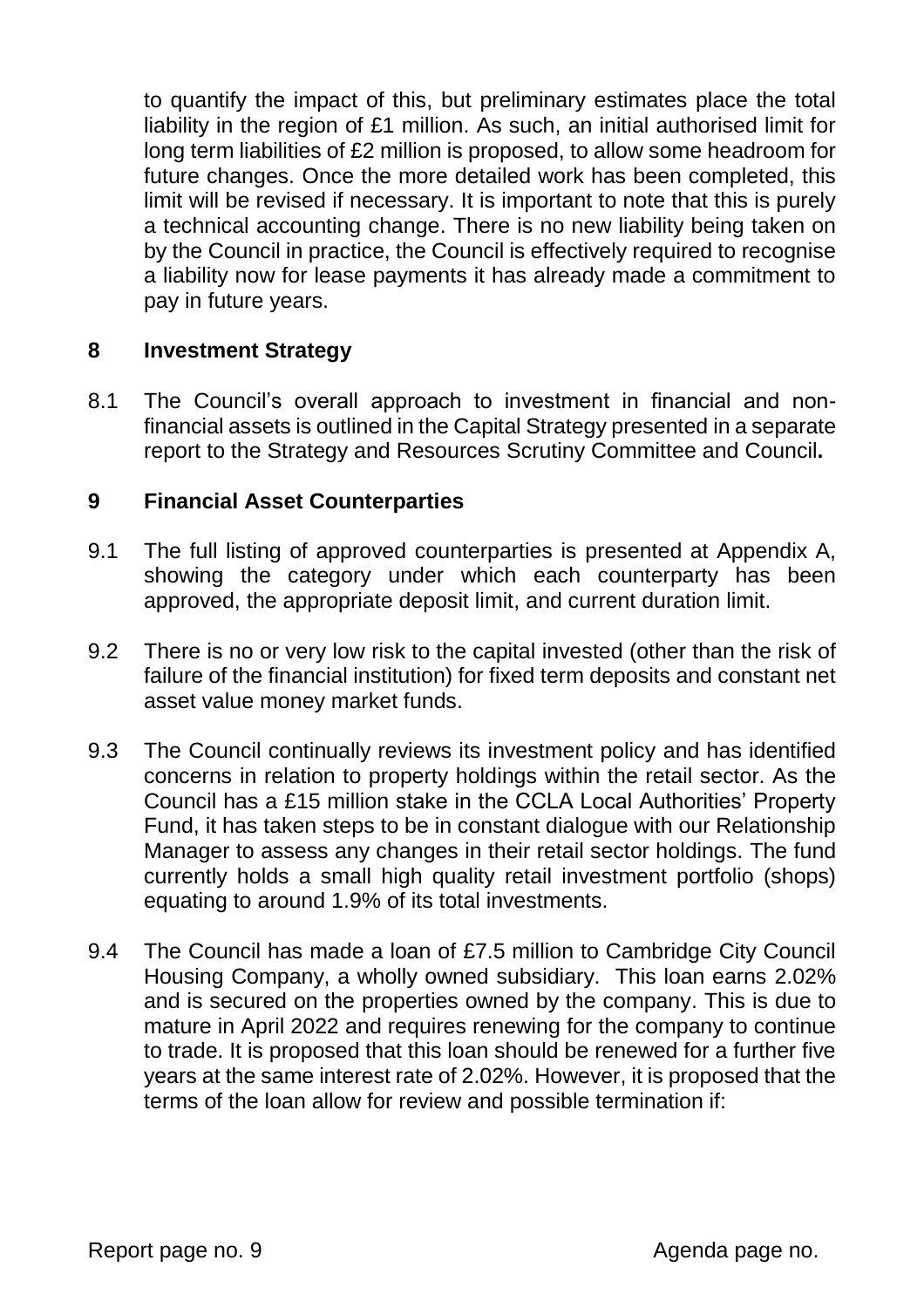to quantify the impact of this, but preliminary estimates place the total liability in the region of £1 million. As such, an initial authorised limit for long term liabilities of £2 million is proposed, to allow some headroom for future changes. Once the more detailed work has been completed, this limit will be revised if necessary. It is important to note that this is purely a technical accounting change. There is no new liability being taken on by the Council in practice, the Council is effectively required to recognise a liability now for lease payments it has already made a commitment to pay in future years.

#### **8 Investment Strategy**

8.1 The Council's overall approach to investment in financial and nonfinancial assets is outlined in the Capital Strategy presented in a separate report to the Strategy and Resources Scrutiny Committee and Council**.**

#### **9 Financial Asset Counterparties**

- 9.1 The full listing of approved counterparties is presented at Appendix A, showing the category under which each counterparty has been approved, the appropriate deposit limit, and current duration limit.
- 9.2 There is no or very low risk to the capital invested (other than the risk of failure of the financial institution) for fixed term deposits and constant net asset value money market funds.
- 9.3 The Council continually reviews its investment policy and has identified concerns in relation to property holdings within the retail sector. As the Council has a £15 million stake in the CCLA Local Authorities' Property Fund, it has taken steps to be in constant dialogue with our Relationship Manager to assess any changes in their retail sector holdings. The fund currently holds a small high quality retail investment portfolio (shops) equating to around 1.9% of its total investments.
- 9.4 The Council has made a loan of £7.5 million to Cambridge City Council Housing Company, a wholly owned subsidiary. This loan earns 2.02% and is secured on the properties owned by the company. This is due to mature in April 2022 and requires renewing for the company to continue to trade. It is proposed that this loan should be renewed for a further five years at the same interest rate of 2.02%. However, it is proposed that the terms of the loan allow for review and possible termination if: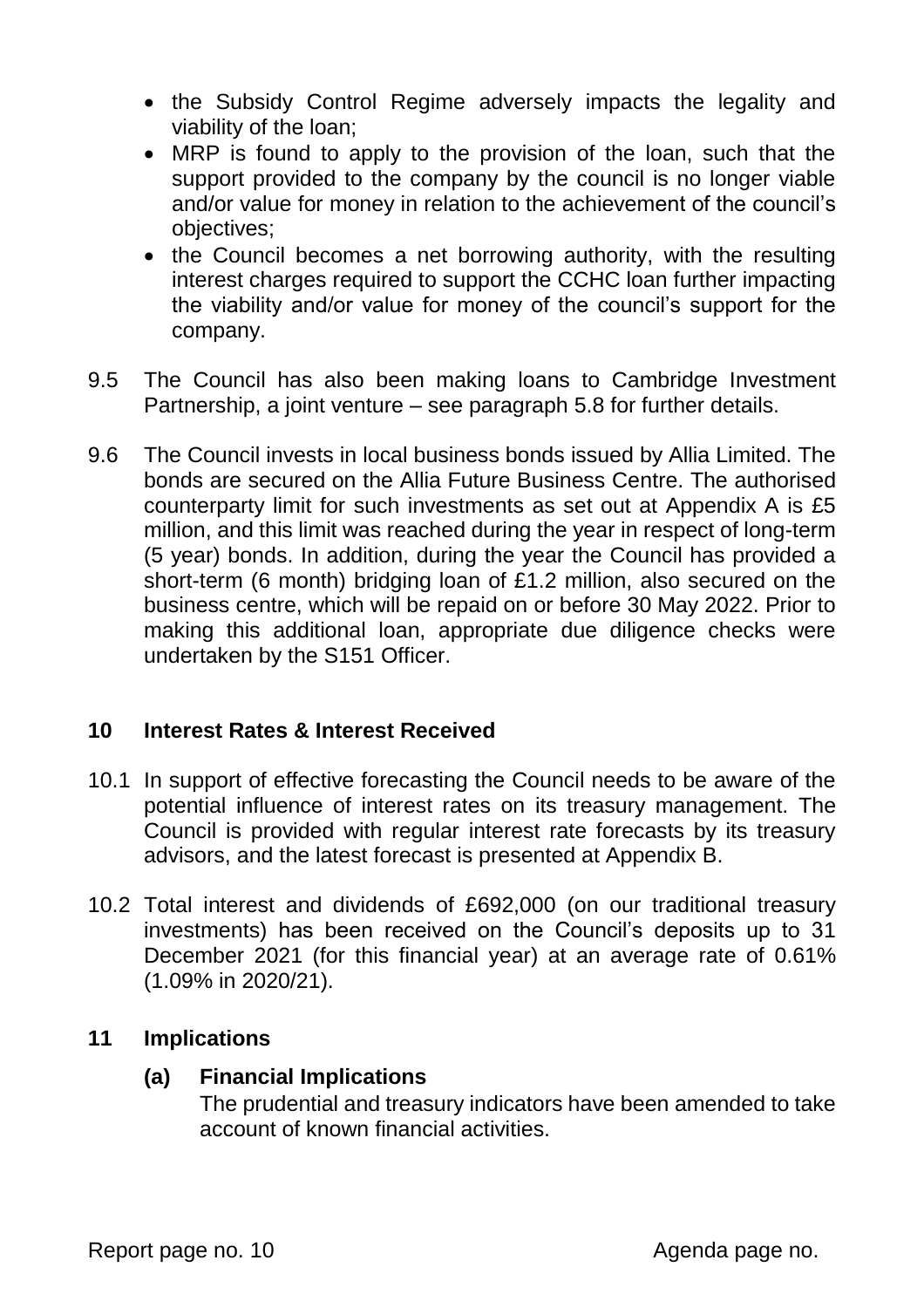- the Subsidy Control Regime adversely impacts the legality and viability of the loan;
- MRP is found to apply to the provision of the loan, such that the support provided to the company by the council is no longer viable and/or value for money in relation to the achievement of the council's objectives;
- the Council becomes a net borrowing authority, with the resulting interest charges required to support the CCHC loan further impacting the viability and/or value for money of the council's support for the company.
- 9.5 The Council has also been making loans to Cambridge Investment Partnership, a joint venture – see paragraph 5.8 for further details.
- 9.6 The Council invests in local business bonds issued by Allia Limited. The bonds are secured on the Allia Future Business Centre. The authorised counterparty limit for such investments as set out at Appendix A is £5 million, and this limit was reached during the year in respect of long-term (5 year) bonds. In addition, during the year the Council has provided a short-term (6 month) bridging loan of £1.2 million, also secured on the business centre, which will be repaid on or before 30 May 2022. Prior to making this additional loan, appropriate due diligence checks were undertaken by the S151 Officer.

## **10 Interest Rates & Interest Received**

- 10.1 In support of effective forecasting the Council needs to be aware of the potential influence of interest rates on its treasury management. The Council is provided with regular interest rate forecasts by its treasury advisors, and the latest forecast is presented at Appendix B.
- 10.2 Total interest and dividends of £692,000 (on our traditional treasury investments) has been received on the Council's deposits up to 31 December 2021 (for this financial year) at an average rate of 0.61% (1.09% in 2020/21).

## **11 Implications**

## **(a) Financial Implications**

The prudential and treasury indicators have been amended to take account of known financial activities.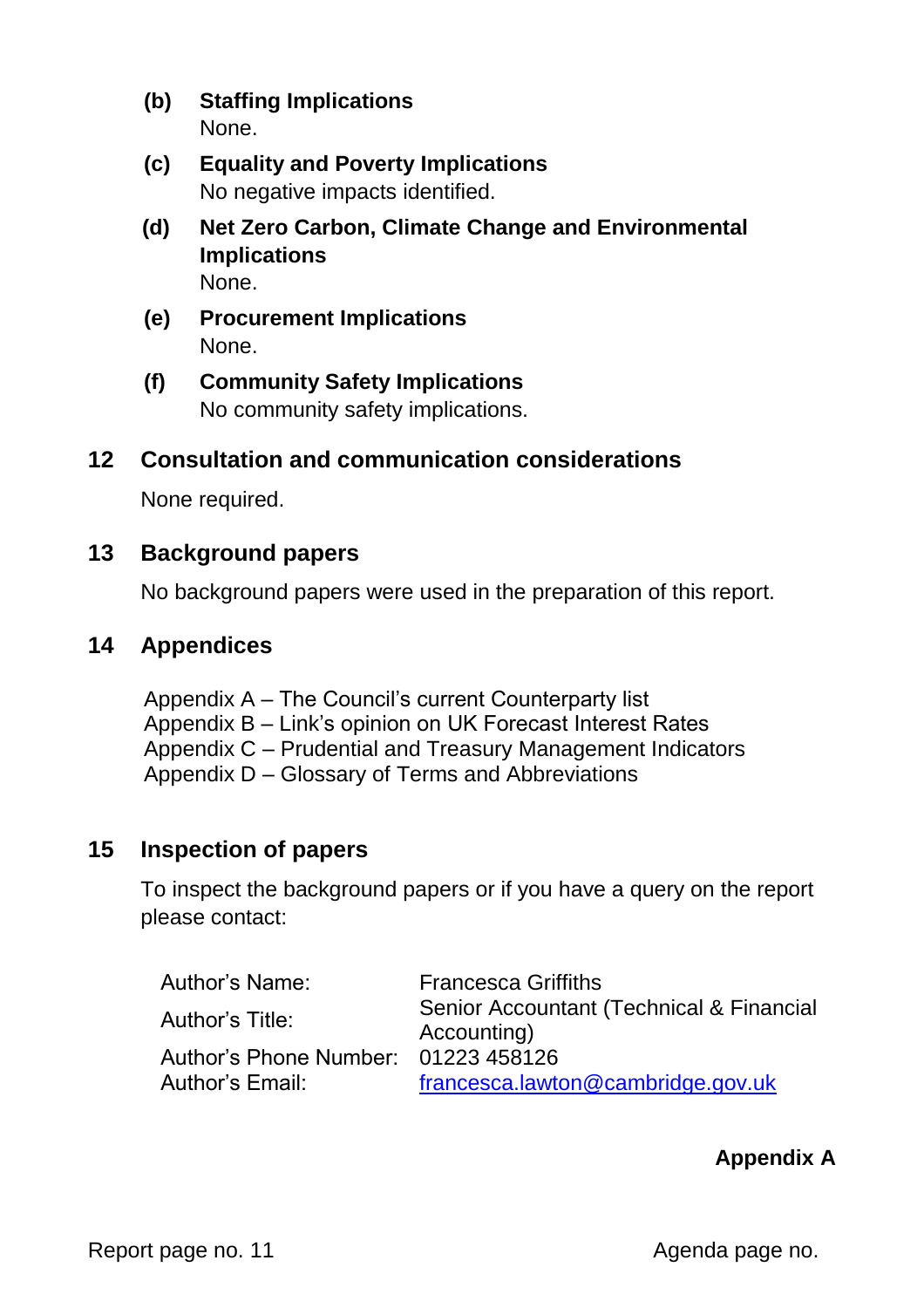- **(b) Staffing Implications** None.
- **(c) Equality and Poverty Implications** No negative impacts identified.
- **(d) Net Zero Carbon, Climate Change and Environmental Implications** None.
- **(e) Procurement Implications** None.
- **(f) Community Safety Implications** No community safety implications.

## **12 Consultation and communication considerations**

None required.

## **13 Background papers**

No background papers were used in the preparation of this report.

## **14 Appendices**

Appendix A – The Council's current Counterparty list Appendix B – Link's opinion on UK Forecast Interest Rates Appendix C – Prudential and Treasury Management Indicators Appendix D – Glossary of Terms and Abbreviations

## **15 Inspection of papers**

To inspect the background papers or if you have a query on the report please contact:

| Author's Name:                      | <b>Francesca Griffiths</b>                              |
|-------------------------------------|---------------------------------------------------------|
| Author's Title:                     | Senior Accountant (Technical & Financial<br>Accounting) |
| Author's Phone Number: 01223 458126 |                                                         |
| Author's Email:                     | francesca.lawton@cambridge.gov.uk                       |

## **Appendix A**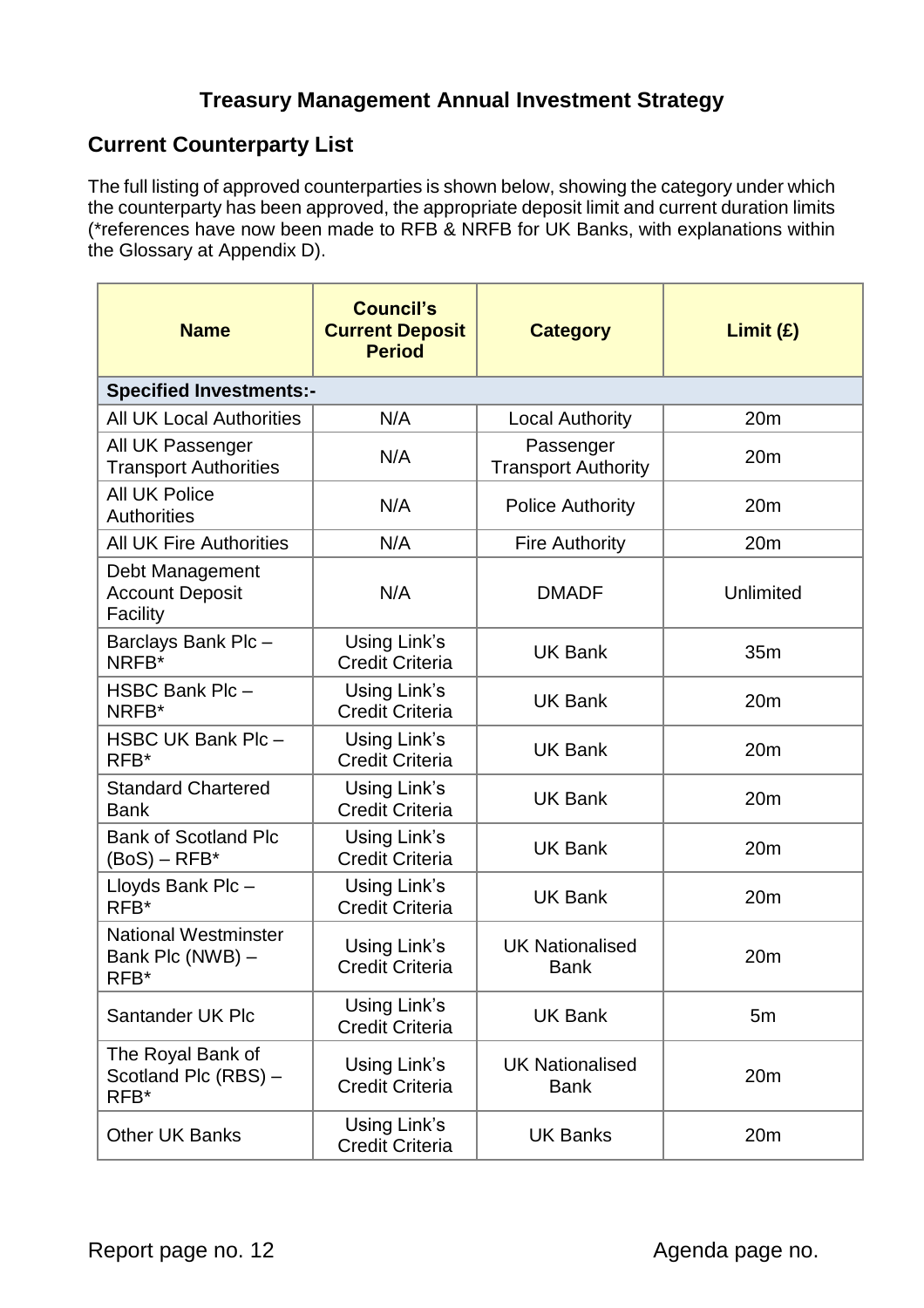## **Treasury Management Annual Investment Strategy**

## **Current Counterparty List**

The full listing of approved counterparties is shown below, showing the category under which the counterparty has been approved, the appropriate deposit limit and current duration limits (\*references have now been made to RFB & NRFB for UK Banks, with explanations within the Glossary at Appendix D).

| <b>Name</b>                                             | <b>Council's</b><br><b>Current Deposit</b><br><b>Period</b> | <b>Category</b>                         | Limit (E)       |  |  |  |  |  |
|---------------------------------------------------------|-------------------------------------------------------------|-----------------------------------------|-----------------|--|--|--|--|--|
| <b>Specified Investments:-</b>                          |                                                             |                                         |                 |  |  |  |  |  |
| <b>All UK Local Authorities</b>                         | N/A                                                         | <b>Local Authority</b>                  | 20 <sub>m</sub> |  |  |  |  |  |
| All UK Passenger<br><b>Transport Authorities</b>        | N/A                                                         | Passenger<br><b>Transport Authority</b> | 20m             |  |  |  |  |  |
| <b>All UK Police</b><br><b>Authorities</b>              | N/A                                                         | <b>Police Authority</b>                 | 20m             |  |  |  |  |  |
| <b>All UK Fire Authorities</b>                          | N/A                                                         | <b>Fire Authority</b>                   | 20 <sub>m</sub> |  |  |  |  |  |
| Debt Management<br><b>Account Deposit</b><br>Facility   | N/A                                                         | <b>DMADF</b>                            | Unlimited       |  |  |  |  |  |
| Barclays Bank Plc-<br>NRFB*                             | Using Link's<br><b>Credit Criteria</b>                      | <b>UK Bank</b>                          | 35m             |  |  |  |  |  |
| HSBC Bank Plc-<br>NRFB*                                 | Using Link's<br><b>Credit Criteria</b>                      | <b>UK Bank</b>                          | 20m             |  |  |  |  |  |
| HSBC UK Bank Plc-<br>RFB*                               | Using Link's<br><b>Credit Criteria</b>                      | <b>UK Bank</b>                          | 20m             |  |  |  |  |  |
| <b>Standard Chartered</b><br><b>Bank</b>                | Using Link's<br><b>Credit Criteria</b>                      | <b>UK Bank</b>                          | 20m             |  |  |  |  |  |
| <b>Bank of Scotland Plc</b><br>$(BoS) - RFB*$           | Using Link's<br><b>Credit Criteria</b>                      | <b>UK Bank</b>                          | 20m             |  |  |  |  |  |
| Lloyds Bank Plc-<br>RFB*                                | Using Link's<br><b>Credit Criteria</b>                      | <b>UK Bank</b>                          | 20m             |  |  |  |  |  |
| <b>National Westminster</b><br>Bank Plc (NWB) -<br>RFB* | Using Link's<br><b>Credit Criteria</b>                      | <b>UK Nationalised</b><br><b>Bank</b>   | 20m             |  |  |  |  |  |
| Santander UK Plc                                        | Using Link's<br><b>Credit Criteria</b>                      | <b>UK Bank</b>                          | 5m              |  |  |  |  |  |
| The Royal Bank of<br>Scotland Plc (RBS) -<br>RFB*       | Using Link's<br><b>Credit Criteria</b>                      | <b>UK Nationalised</b><br><b>Bank</b>   | 20m             |  |  |  |  |  |
| <b>Other UK Banks</b>                                   | Using Link's<br><b>Credit Criteria</b>                      | <b>UK Banks</b>                         | 20m             |  |  |  |  |  |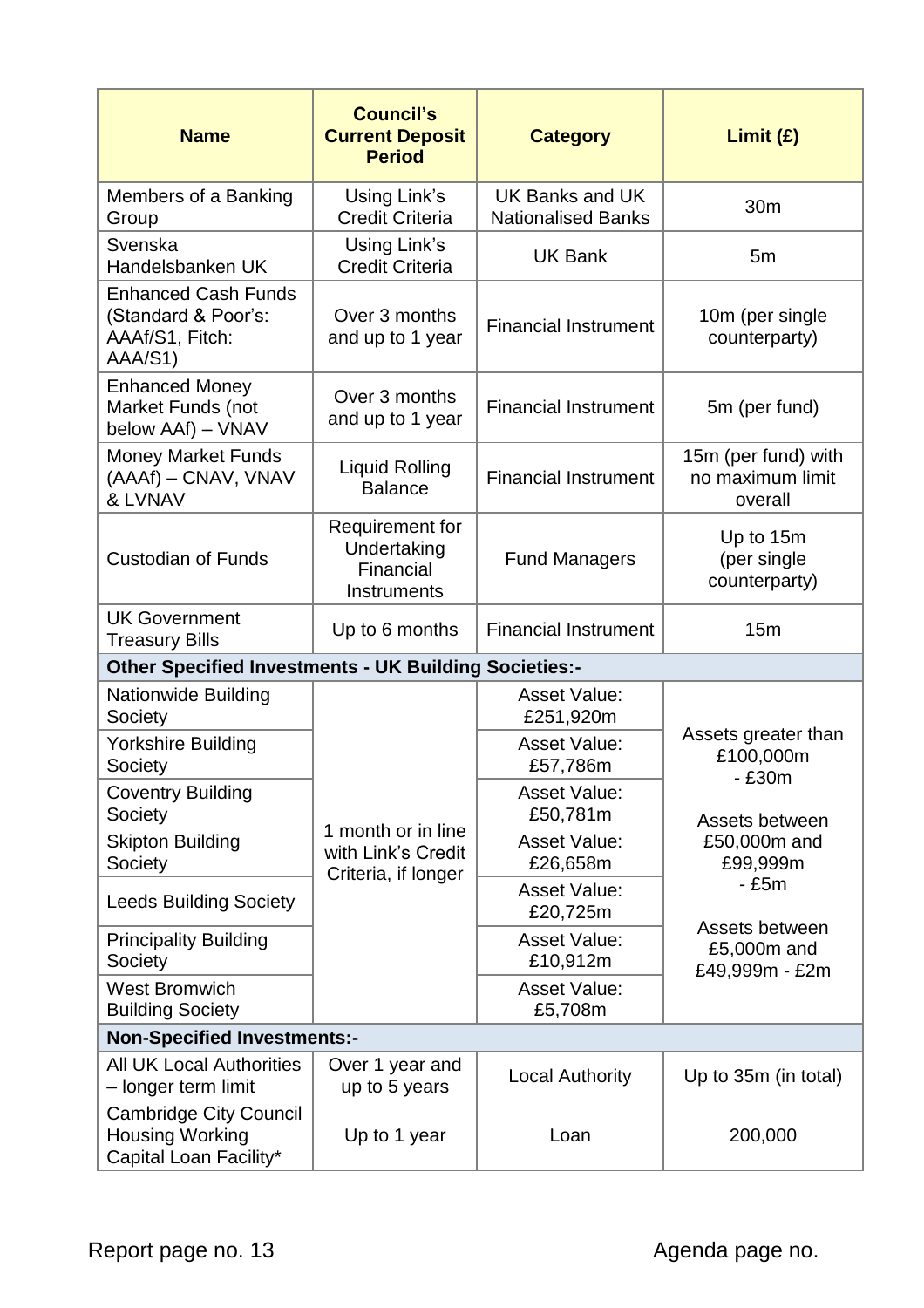| <b>Name</b>                                                                       | <b>Council's</b><br><b>Current Deposit</b><br><b>Period</b>     | <b>Category</b>                              | Limit (E)                                          |
|-----------------------------------------------------------------------------------|-----------------------------------------------------------------|----------------------------------------------|----------------------------------------------------|
| Members of a Banking<br>Group                                                     | Using Link's<br><b>Credit Criteria</b>                          | UK Banks and UK<br><b>Nationalised Banks</b> | 30m                                                |
| Svenska<br>Handelsbanken UK                                                       | Using Link's<br><b>Credit Criteria</b>                          | <b>UK Bank</b>                               | 5 <sub>m</sub>                                     |
| <b>Enhanced Cash Funds</b><br>(Standard & Poor's:<br>AAAf/S1, Fitch:<br>AAA/S1)   | Over 3 months<br>and up to 1 year                               | <b>Financial Instrument</b>                  | 10m (per single<br>counterparty)                   |
| <b>Enhanced Money</b><br>Market Funds (not<br>below AAf) - VNAV                   | Over 3 months<br>and up to 1 year                               | <b>Financial Instrument</b>                  | 5m (per fund)                                      |
| <b>Money Market Funds</b><br>(AAAf) - CNAV, VNAV<br>& LVNAV                       | <b>Liquid Rolling</b><br><b>Balance</b>                         | <b>Financial Instrument</b>                  | 15m (per fund) with<br>no maximum limit<br>overall |
| <b>Custodian of Funds</b>                                                         | Requirement for<br>Undertaking<br>Financial<br>Instruments      | <b>Fund Managers</b>                         | Up to 15m<br>(per single<br>counterparty)          |
| <b>UK Government</b><br><b>Treasury Bills</b>                                     | Up to 6 months                                                  | <b>Financial Instrument</b>                  | 15m                                                |
| <b>Other Specified Investments - UK Building Societies:-</b>                      |                                                                 |                                              |                                                    |
| <b>Nationwide Building</b><br>Society                                             |                                                                 | <b>Asset Value:</b><br>£251,920m             |                                                    |
| <b>Yorkshire Building</b><br>Society                                              |                                                                 | <b>Asset Value:</b><br>£57,786m              | Assets greater than<br>£100,000m<br>$-£30m$        |
| <b>Coventry Building</b><br>Society                                               |                                                                 | <b>Asset Value:</b><br>£50,781m              | Assets between                                     |
| <b>Skipton Building</b><br>Society                                                | 1 month or in line<br>with Link's Credit<br>Criteria, if longer | <b>Asset Value:</b><br>£26,658m              | £50,000m and<br>£99,999m                           |
| <b>Leeds Building Society</b>                                                     |                                                                 | <b>Asset Value:</b><br>£20,725m              | $-£5m$                                             |
| <b>Principality Building</b><br>Society                                           |                                                                 | <b>Asset Value:</b><br>£10,912m              | Assets between<br>£5,000m and<br>£49,999m - £2m    |
| <b>West Bromwich</b><br><b>Building Society</b>                                   |                                                                 | <b>Asset Value:</b><br>£5,708m               |                                                    |
| <b>Non-Specified Investments:-</b>                                                |                                                                 |                                              |                                                    |
| <b>All UK Local Authorities</b><br>- longer term limit                            | Over 1 year and<br>up to 5 years                                | <b>Local Authority</b>                       | Up to 35m (in total)                               |
| <b>Cambridge City Council</b><br><b>Housing Working</b><br>Capital Loan Facility* | Up to 1 year                                                    | Loan                                         | 200,000                                            |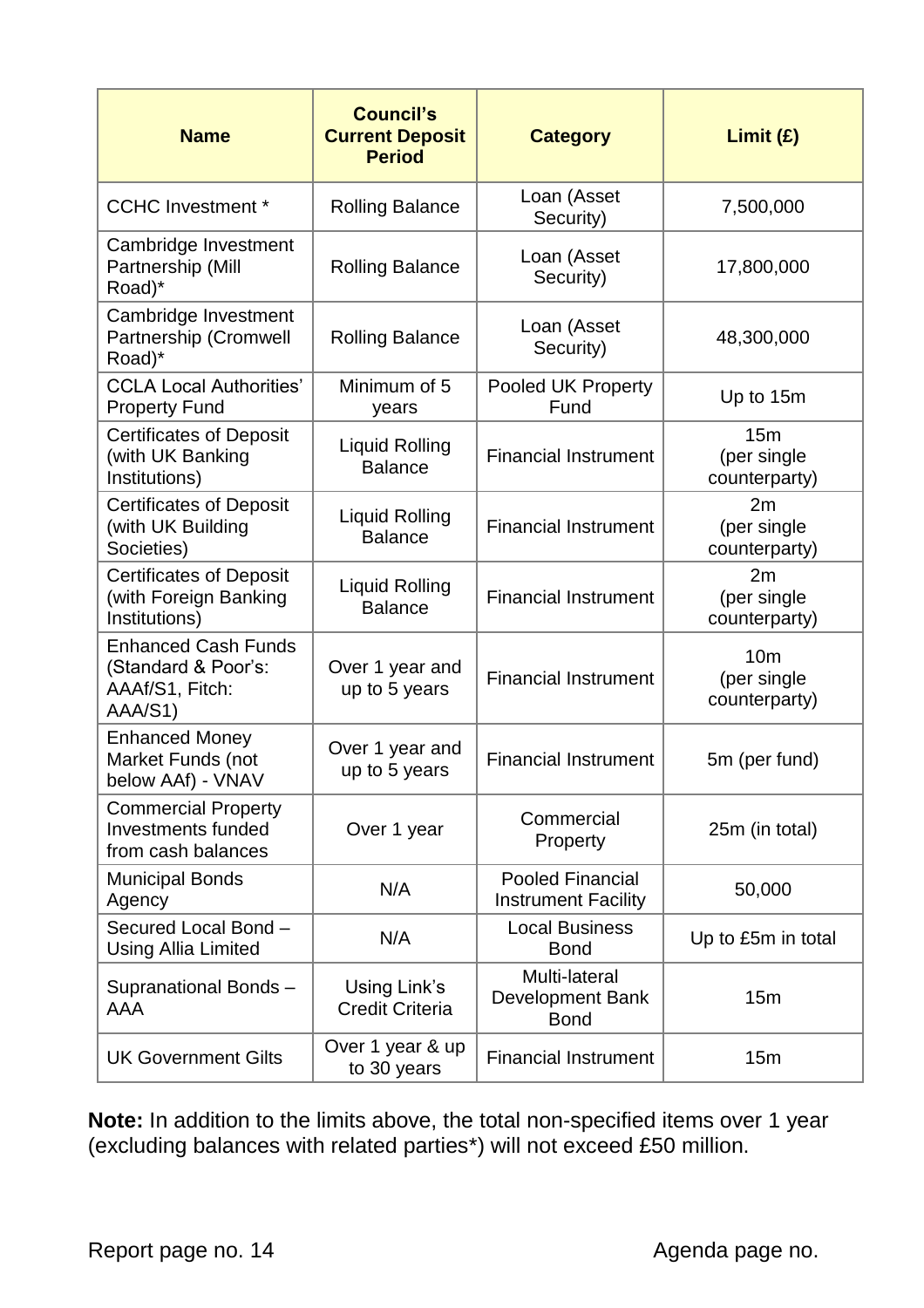| <b>Name</b>                                                                     | <b>Council's</b><br><b>Current Deposit</b><br><b>Period</b> | <b>Category</b>                                         | Limit (E)                                       |
|---------------------------------------------------------------------------------|-------------------------------------------------------------|---------------------------------------------------------|-------------------------------------------------|
| <b>CCHC Investment *</b>                                                        | <b>Rolling Balance</b>                                      | Loan (Asset<br>Security)                                | 7,500,000                                       |
| Cambridge Investment<br>Partnership (Mill<br>Road)*                             | <b>Rolling Balance</b>                                      | Loan (Asset<br>Security)                                | 17,800,000                                      |
| Cambridge Investment<br>Partnership (Cromwell<br>Road)*                         | <b>Rolling Balance</b>                                      | Loan (Asset<br>Security)                                | 48,300,000                                      |
| <b>CCLA Local Authorities'</b><br><b>Property Fund</b>                          | Minimum of 5<br>years                                       | Pooled UK Property<br>Fund                              | Up to 15m                                       |
| <b>Certificates of Deposit</b><br>(with UK Banking<br>Institutions)             | <b>Liquid Rolling</b><br><b>Balance</b>                     | <b>Financial Instrument</b>                             | 15m<br>(per single<br>counterparty)             |
| <b>Certificates of Deposit</b><br>(with UK Building<br>Societies)               | <b>Liquid Rolling</b><br><b>Balance</b>                     | <b>Financial Instrument</b>                             | 2m<br>(per single<br>counterparty)              |
| <b>Certificates of Deposit</b><br>(with Foreign Banking<br>Institutions)        | <b>Liquid Rolling</b><br><b>Balance</b>                     | <b>Financial Instrument</b>                             | 2m<br>(per single<br>counterparty)              |
| <b>Enhanced Cash Funds</b><br>(Standard & Poor's:<br>AAAf/S1, Fitch:<br>AAA/S1) | Over 1 year and<br>up to 5 years                            | <b>Financial Instrument</b>                             | 10 <sub>m</sub><br>(per single<br>counterparty) |
| <b>Enhanced Money</b><br>Market Funds (not<br>below AAf) - VNAV                 | Over 1 year and<br>up to 5 years                            | <b>Financial Instrument</b>                             | 5m (per fund)                                   |
| <b>Commercial Property</b><br><b>Investments funded</b><br>from cash balances   | Over 1 year                                                 | Commercial<br>Property                                  | 25m (in total)                                  |
| <b>Municipal Bonds</b><br>Agency                                                | N/A                                                         | <b>Pooled Financial</b><br><b>Instrument Facility</b>   | 50,000                                          |
| Secured Local Bond -<br><b>Using Allia Limited</b>                              | N/A                                                         | <b>Local Business</b><br><b>Bond</b>                    | Up to £5m in total                              |
| Supranational Bonds-<br>AAA                                                     | Using Link's<br><b>Credit Criteria</b>                      | Multi-lateral<br><b>Development Bank</b><br><b>Bond</b> | 15m                                             |
| <b>UK Government Gilts</b>                                                      | Over 1 year & up<br>to 30 years                             | <b>Financial Instrument</b>                             | 15m                                             |

**Note:** In addition to the limits above, the total non-specified items over 1 year (excluding balances with related parties\*) will not exceed £50 million.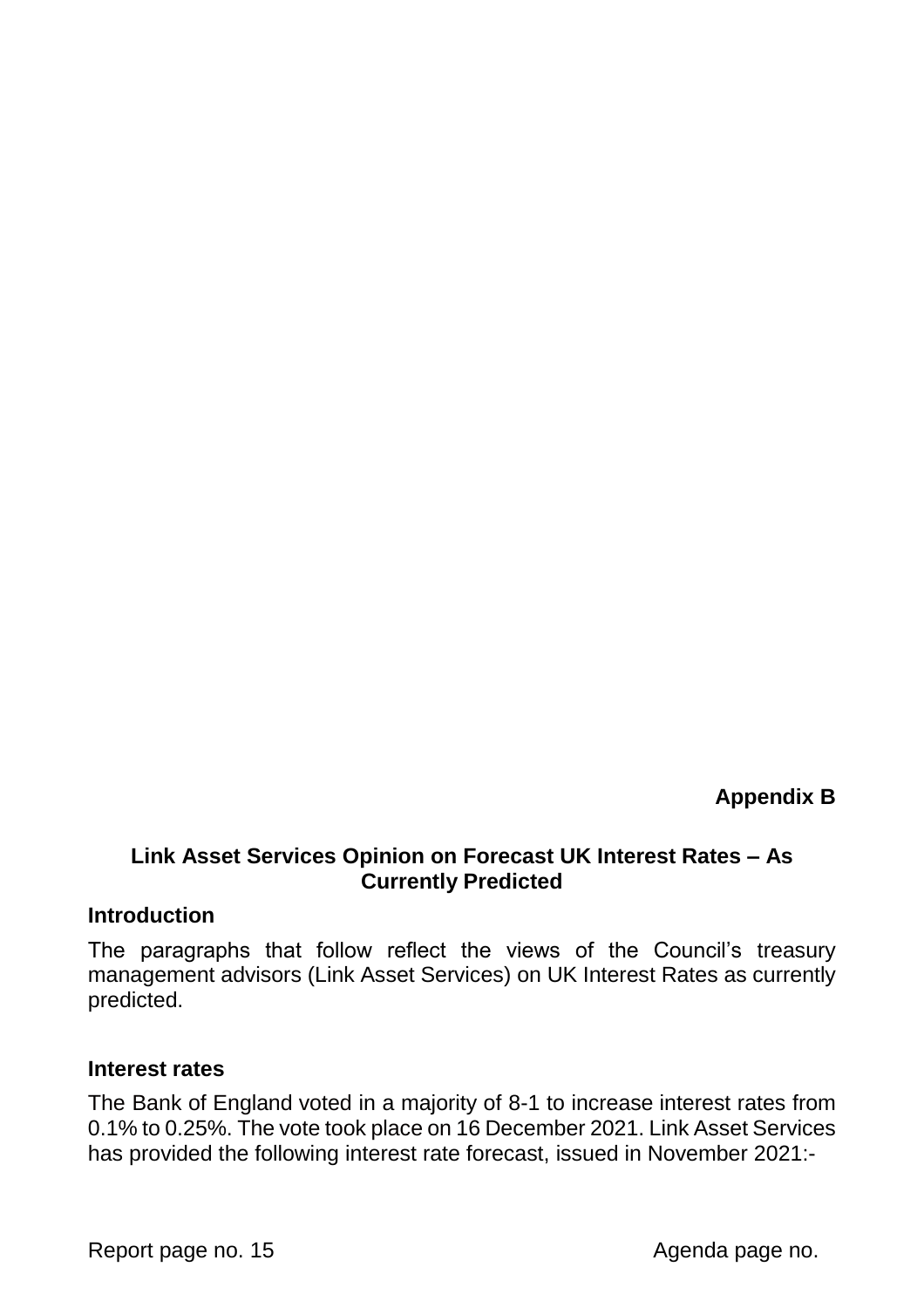**Appendix B**

#### **Link Asset Services Opinion on Forecast UK Interest Rates – As Currently Predicted**

#### **Introduction**

The paragraphs that follow reflect the views of the Council's treasury management advisors (Link Asset Services) on UK Interest Rates as currently predicted.

#### **Interest rates**

The Bank of England voted in a majority of 8-1 to increase interest rates from 0.1% to 0.25%. The vote took place on 16 December 2021. Link Asset Services has provided the following interest rate forecast, issued in November 2021:-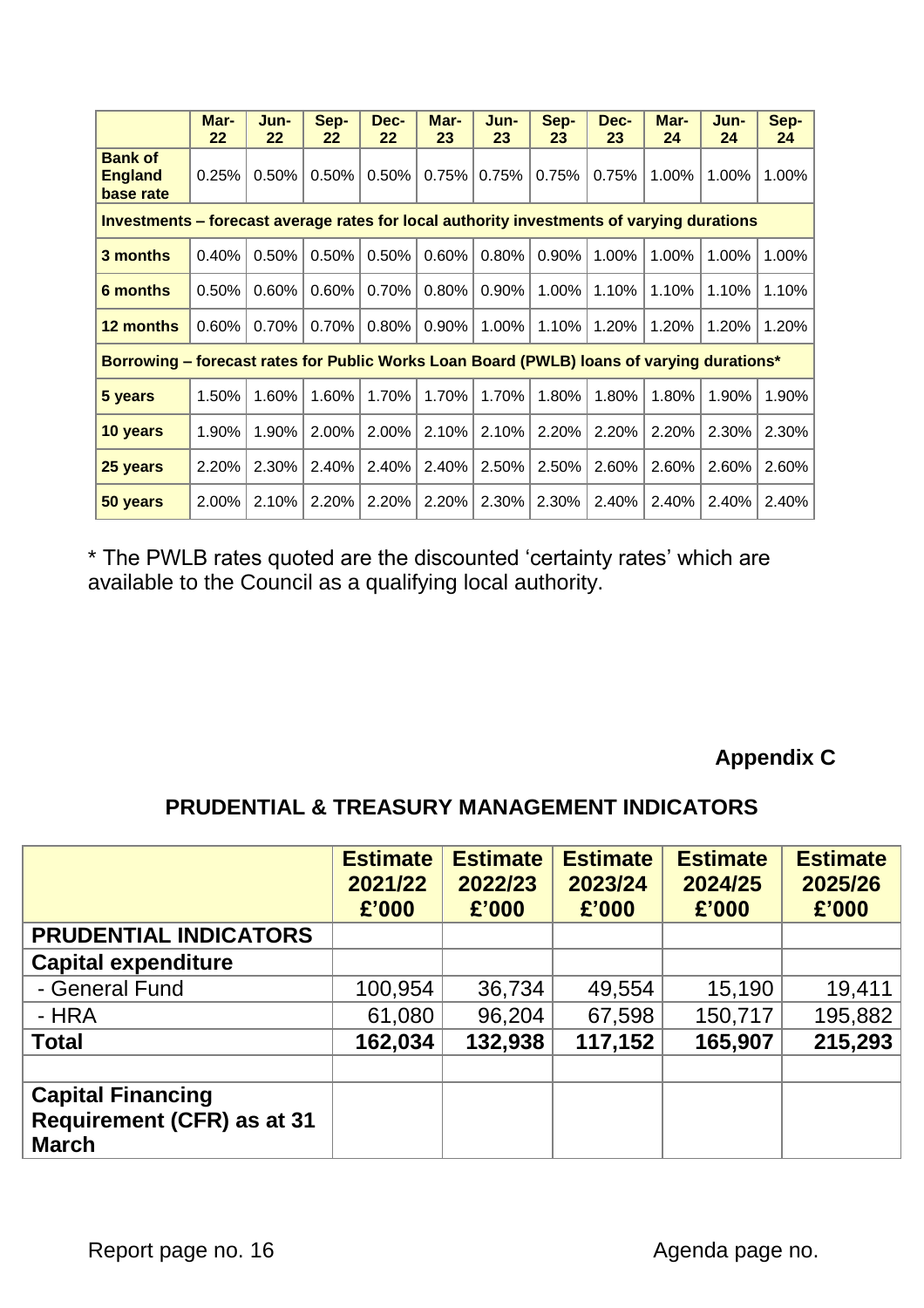|                                                                                           | Mar-<br>22 | Jun-<br>22 | Sep-<br>22 | Dec-<br>22 | Mar-<br>23 | Jun-<br>23 | Sep-<br>23 | Dec-<br>23 | Mar-<br>24 | Jun-<br>24 | Sep-<br>24 |
|-------------------------------------------------------------------------------------------|------------|------------|------------|------------|------------|------------|------------|------------|------------|------------|------------|
| <b>Bank of</b><br><b>England</b><br>base rate                                             | 0.25%      | 0.50%      | 0.50%      | 0.50%      | 0.75%      | 0.75%      | 0.75%      | 0.75%      | 1.00%      | 1.00%      | 1.00%      |
| Investments – forecast average rates for local authority investments of varying durations |            |            |            |            |            |            |            |            |            |            |            |
| 3 months                                                                                  | 0.40%      | 0.50%      | 0.50%      | 0.50%      | 0.60%      | 0.80%      | 0.90%      | 1.00%      | 1.00%      | 1.00%      | 1.00%      |
| 6 months                                                                                  | 0.50%      | 0.60%      | 0.60%      | 0.70%      | 0.80%      | 0.90%      | 1.00%      | 1.10%      | 1.10%      | 1.10%      | 1.10%      |
| 12 months                                                                                 | 0.60%      | 0.70%      | 0.70%      | 0.80%      | 0.90%      | 1.00%      | 1.10%      | 1.20%      | 1.20%      | 1.20%      | 1.20%      |
| Borrowing - forecast rates for Public Works Loan Board (PWLB) loans of varying durations* |            |            |            |            |            |            |            |            |            |            |            |
| 5 years                                                                                   | 1.50%      | 1.60%      | 1.60%      | 1.70%      | 1.70%      | 1.70%      | 1.80%      | 1.80%      | 1.80%      | 1.90%      | 1.90%      |
| 10 years                                                                                  | 1.90%      | 1.90%      | 2.00%      | 2.00%      | 2.10%      | 2.10%      | 2.20%      | 2.20%      | 2.20%      | 2.30%      | 2.30%      |
| 25 years                                                                                  | 2.20%      | 2.30%      | 2.40%      | 2.40%      | 2.40%      | 2.50%      | 2.50%      | 2.60%      | 2.60%      | 2.60%      | 2.60%      |
| 50 years                                                                                  | 2.00%      | 2.10%      | 2.20%      | 2.20%      | 2.20%      | 2.30%      | 2.30%      | 2.40%      | 2.40%      | 2.40%      | 2.40%      |

\* The PWLB rates quoted are the discounted 'certainty rates' which are available to the Council as a qualifying local authority.

## **Appendix C**

## **PRUDENTIAL & TREASURY MANAGEMENT INDICATORS**

|                                                                               | <b>Estimate</b><br>2021/22<br>£'000 | <b>Estimate</b><br>2022/23<br>£'000 | <b>Estimate</b><br>2023/24<br>£'000 | <b>Estimate</b><br>2024/25<br>£'000 | <b>Estimate</b><br>2025/26<br>£'000 |
|-------------------------------------------------------------------------------|-------------------------------------|-------------------------------------|-------------------------------------|-------------------------------------|-------------------------------------|
| <b>PRUDENTIAL INDICATORS</b>                                                  |                                     |                                     |                                     |                                     |                                     |
| <b>Capital expenditure</b>                                                    |                                     |                                     |                                     |                                     |                                     |
| - General Fund                                                                | 100,954                             | 36,734                              | 49,554                              | 15,190                              | 19,411                              |
| - HRA                                                                         | 61,080                              | 96,204                              | 67,598                              | 150,717                             | 195,882                             |
| <b>Total</b>                                                                  | 162,034                             | 132,938                             | 117,152                             | 165,907                             | 215,293                             |
|                                                                               |                                     |                                     |                                     |                                     |                                     |
| <b>Capital Financing</b><br><b>Requirement (CFR) as at 31</b><br><b>March</b> |                                     |                                     |                                     |                                     |                                     |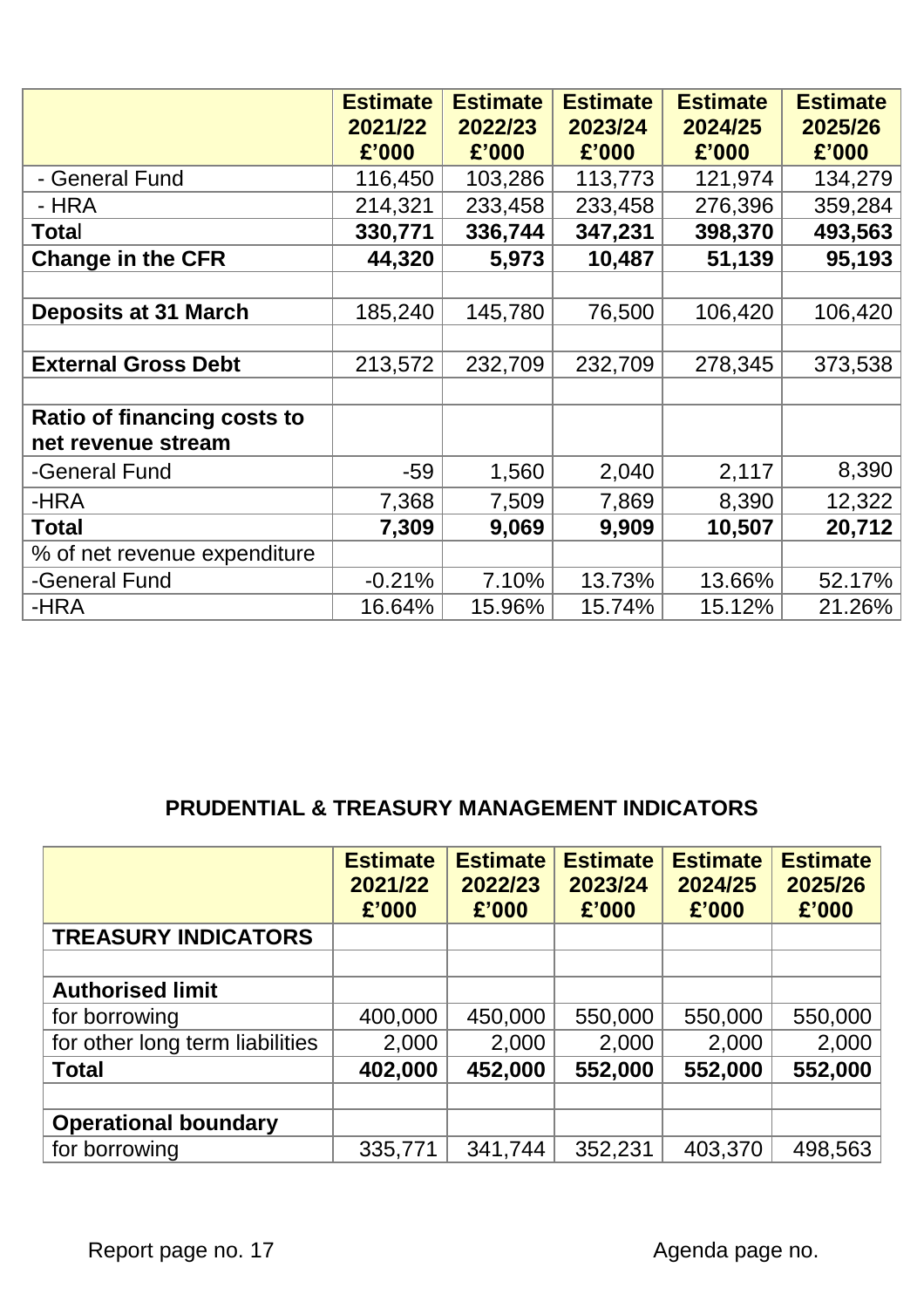|                                                   | <b>Estimate</b><br>2021/22<br>£'000 | <b>Estimate</b><br>2022/23<br>£'000 | <b>Estimate</b><br>2023/24<br>£'000 | <b>Estimate</b><br>2024/25<br>£'000 | <b>Estimate</b><br>2025/26<br>£'000 |
|---------------------------------------------------|-------------------------------------|-------------------------------------|-------------------------------------|-------------------------------------|-------------------------------------|
| - General Fund                                    | 116,450                             | 103,286                             | 113,773                             | 121,974                             | 134,279                             |
| - HRA                                             | 214,321                             | 233,458                             | 233,458                             | 276,396                             | 359,284                             |
| Total                                             | 330,771                             | 336,744                             | 347,231                             | 398,370                             | 493,563                             |
| <b>Change in the CFR</b>                          | 44,320                              | 5,973                               | 10,487                              | 51,139                              | 95,193                              |
|                                                   |                                     |                                     |                                     |                                     |                                     |
| <b>Deposits at 31 March</b>                       | 185,240                             | 145,780                             | 76,500                              | 106,420                             | 106,420                             |
|                                                   |                                     |                                     |                                     |                                     |                                     |
| <b>External Gross Debt</b>                        | 213,572                             | 232,709                             | 232,709                             | 278,345                             | 373,538                             |
|                                                   |                                     |                                     |                                     |                                     |                                     |
| Ratio of financing costs to<br>net revenue stream |                                     |                                     |                                     |                                     |                                     |
| -General Fund                                     | $-59$                               | 1,560                               | 2,040                               | 2,117                               | 8,390                               |
| -HRA                                              | 7,368                               | 7,509                               | 7,869                               | 8,390                               | 12,322                              |
| <b>Total</b>                                      | 7,309                               | 9,069                               | 9,909                               | 10,507                              | 20,712                              |
| % of net revenue expenditure                      |                                     |                                     |                                     |                                     |                                     |
| -General Fund                                     | $-0.21%$                            | 7.10%                               | 13.73%                              | 13.66%                              | 52.17%                              |
| -HRA                                              | 16.64%                              | 15.96%                              | 15.74%                              | 15.12%                              | 21.26%                              |

## **PRUDENTIAL & TREASURY MANAGEMENT INDICATORS**

|                                 | <b>Estimate</b><br>2021/22<br>£'000 | <b>Estimate</b><br>2022/23<br>£'000 | <b>Estimate</b><br>2023/24<br>£'000 | <b>Estimate</b><br>2024/25<br>£'000 | <b>Estimate</b><br>2025/26<br>£'000 |
|---------------------------------|-------------------------------------|-------------------------------------|-------------------------------------|-------------------------------------|-------------------------------------|
| <b>TREASURY INDICATORS</b>      |                                     |                                     |                                     |                                     |                                     |
|                                 |                                     |                                     |                                     |                                     |                                     |
| <b>Authorised limit</b>         |                                     |                                     |                                     |                                     |                                     |
| for borrowing                   | 400,000                             | 450,000                             | 550,000                             | 550,000                             | 550,000                             |
| for other long term liabilities | 2,000                               | 2,000                               | 2,000                               | 2,000                               | 2,000                               |
| <b>Total</b>                    | 402,000                             | 452,000                             | 552,000                             | 552,000                             | 552,000                             |
|                                 |                                     |                                     |                                     |                                     |                                     |
| <b>Operational boundary</b>     |                                     |                                     |                                     |                                     |                                     |
| for borrowing                   | 335,771                             | 341,744                             | 352,231                             | 403,370                             | 498,563                             |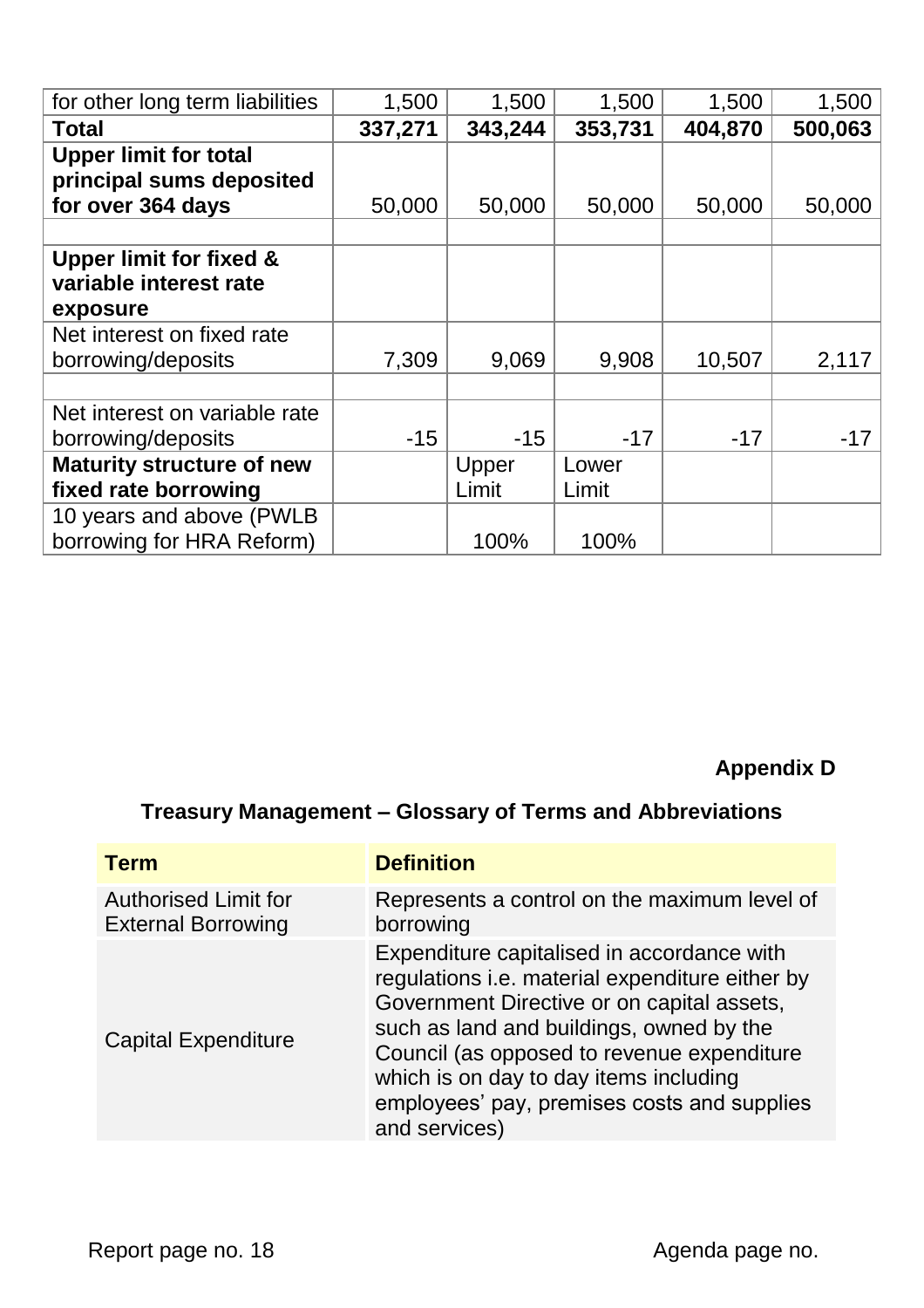| for other long term liabilities  | 1,500   | 1,500   | 1,500   | 1,500   | 1,500   |
|----------------------------------|---------|---------|---------|---------|---------|
| Total                            | 337,271 | 343,244 | 353,731 | 404,870 | 500,063 |
| <b>Upper limit for total</b>     |         |         |         |         |         |
| principal sums deposited         |         |         |         |         |         |
| for over 364 days                | 50,000  | 50,000  | 50,000  | 50,000  | 50,000  |
|                                  |         |         |         |         |         |
| Upper limit for fixed &          |         |         |         |         |         |
| variable interest rate           |         |         |         |         |         |
| exposure                         |         |         |         |         |         |
| Net interest on fixed rate       |         |         |         |         |         |
| borrowing/deposits               | 7,309   | 9,069   | 9,908   | 10,507  | 2,117   |
|                                  |         |         |         |         |         |
| Net interest on variable rate    |         |         |         |         |         |
| borrowing/deposits               | $-15$   | $-15$   | $-17$   | $-17$   | -17     |
| <b>Maturity structure of new</b> |         | Upper   | Lower   |         |         |
| fixed rate borrowing             |         | Limit   | Limit   |         |         |
| 10 years and above (PWLB         |         |         |         |         |         |
| borrowing for HRA Reform)        |         | 100%    | 100%    |         |         |

# **Appendix D**

# **Treasury Management – Glossary of Terms and Abbreviations**

| <b>Term</b>                                              | <b>Definition</b>                                                                                                                                                                                                                                                                                                                               |
|----------------------------------------------------------|-------------------------------------------------------------------------------------------------------------------------------------------------------------------------------------------------------------------------------------------------------------------------------------------------------------------------------------------------|
| <b>Authorised Limit for</b><br><b>External Borrowing</b> | Represents a control on the maximum level of<br>borrowing                                                                                                                                                                                                                                                                                       |
| <b>Capital Expenditure</b>                               | Expenditure capitalised in accordance with<br>regulations i.e. material expenditure either by<br>Government Directive or on capital assets,<br>such as land and buildings, owned by the<br>Council (as opposed to revenue expenditure<br>which is on day to day items including<br>employees' pay, premises costs and supplies<br>and services) |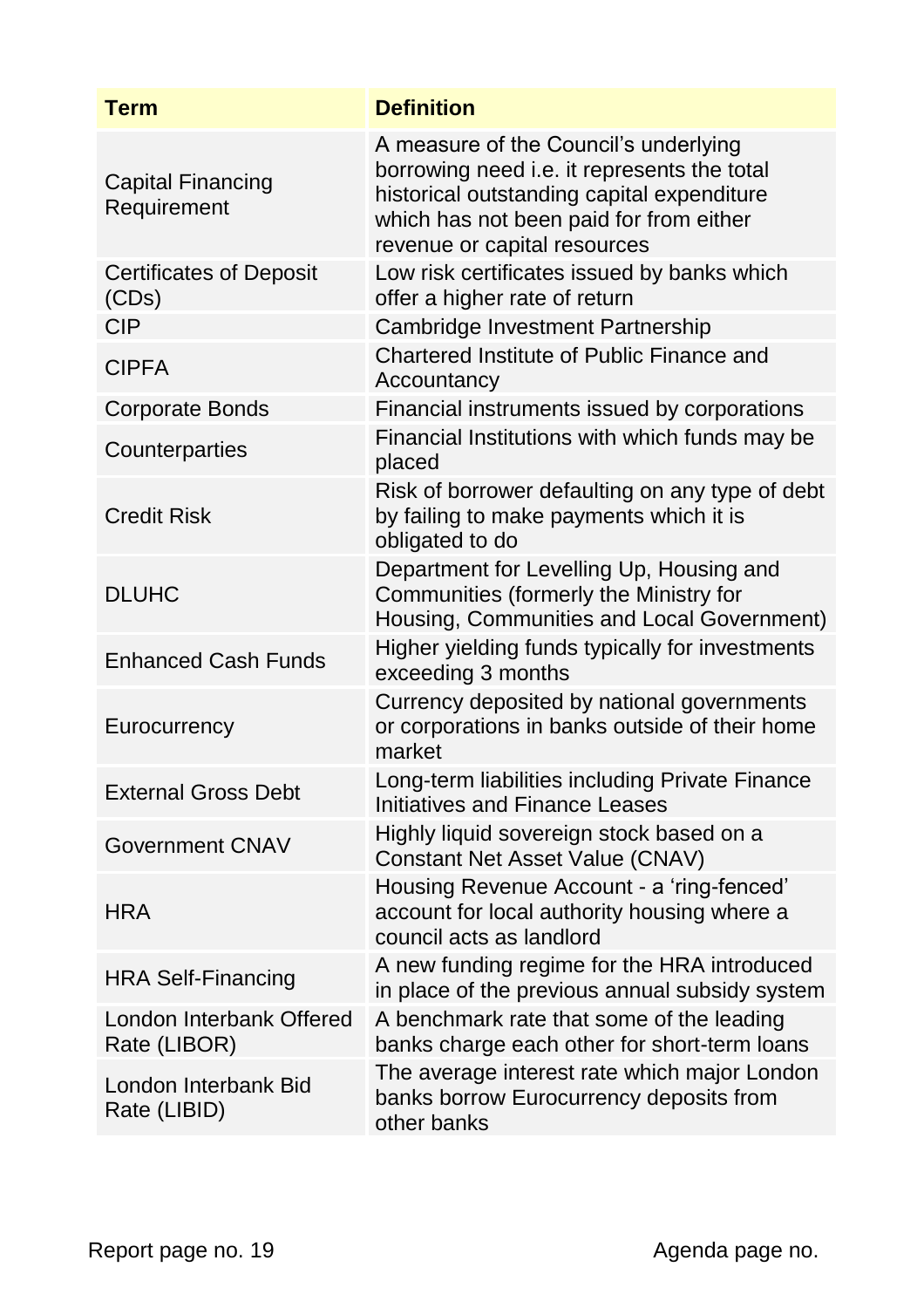| <b>Term</b>                              | <b>Definition</b>                                                                                                                                                                                             |
|------------------------------------------|---------------------------------------------------------------------------------------------------------------------------------------------------------------------------------------------------------------|
| <b>Capital Financing</b><br>Requirement  | A measure of the Council's underlying<br>borrowing need i.e. it represents the total<br>historical outstanding capital expenditure<br>which has not been paid for from either<br>revenue or capital resources |
| <b>Certificates of Deposit</b><br>(CDs)  | Low risk certificates issued by banks which<br>offer a higher rate of return                                                                                                                                  |
| <b>CIP</b>                               | Cambridge Investment Partnership                                                                                                                                                                              |
| <b>CIPFA</b>                             | Chartered Institute of Public Finance and<br>Accountancy                                                                                                                                                      |
| <b>Corporate Bonds</b>                   | Financial instruments issued by corporations                                                                                                                                                                  |
| Counterparties                           | Financial Institutions with which funds may be<br>placed                                                                                                                                                      |
| <b>Credit Risk</b>                       | Risk of borrower defaulting on any type of debt<br>by failing to make payments which it is<br>obligated to do                                                                                                 |
| <b>DLUHC</b>                             | Department for Levelling Up, Housing and<br>Communities (formerly the Ministry for<br>Housing, Communities and Local Government)                                                                              |
| <b>Enhanced Cash Funds</b>               | Higher yielding funds typically for investments<br>exceeding 3 months                                                                                                                                         |
| Eurocurrency                             | Currency deposited by national governments<br>or corporations in banks outside of their home<br>market                                                                                                        |
| <b>External Gross Debt</b>               | Long-term liabilities including Private Finance<br>Initiatives and Finance Leases                                                                                                                             |
| <b>Government CNAV</b>                   | Highly liquid sovereign stock based on a<br><b>Constant Net Asset Value (CNAV)</b>                                                                                                                            |
| <b>HRA</b>                               | Housing Revenue Account - a 'ring-fenced'<br>account for local authority housing where a<br>council acts as landlord                                                                                          |
| <b>HRA Self-Financing</b>                | A new funding regime for the HRA introduced<br>in place of the previous annual subsidy system                                                                                                                 |
| London Interbank Offered<br>Rate (LIBOR) | A benchmark rate that some of the leading<br>banks charge each other for short-term loans                                                                                                                     |
| London Interbank Bid<br>Rate (LIBID)     | The average interest rate which major London<br>banks borrow Eurocurrency deposits from<br>other banks                                                                                                        |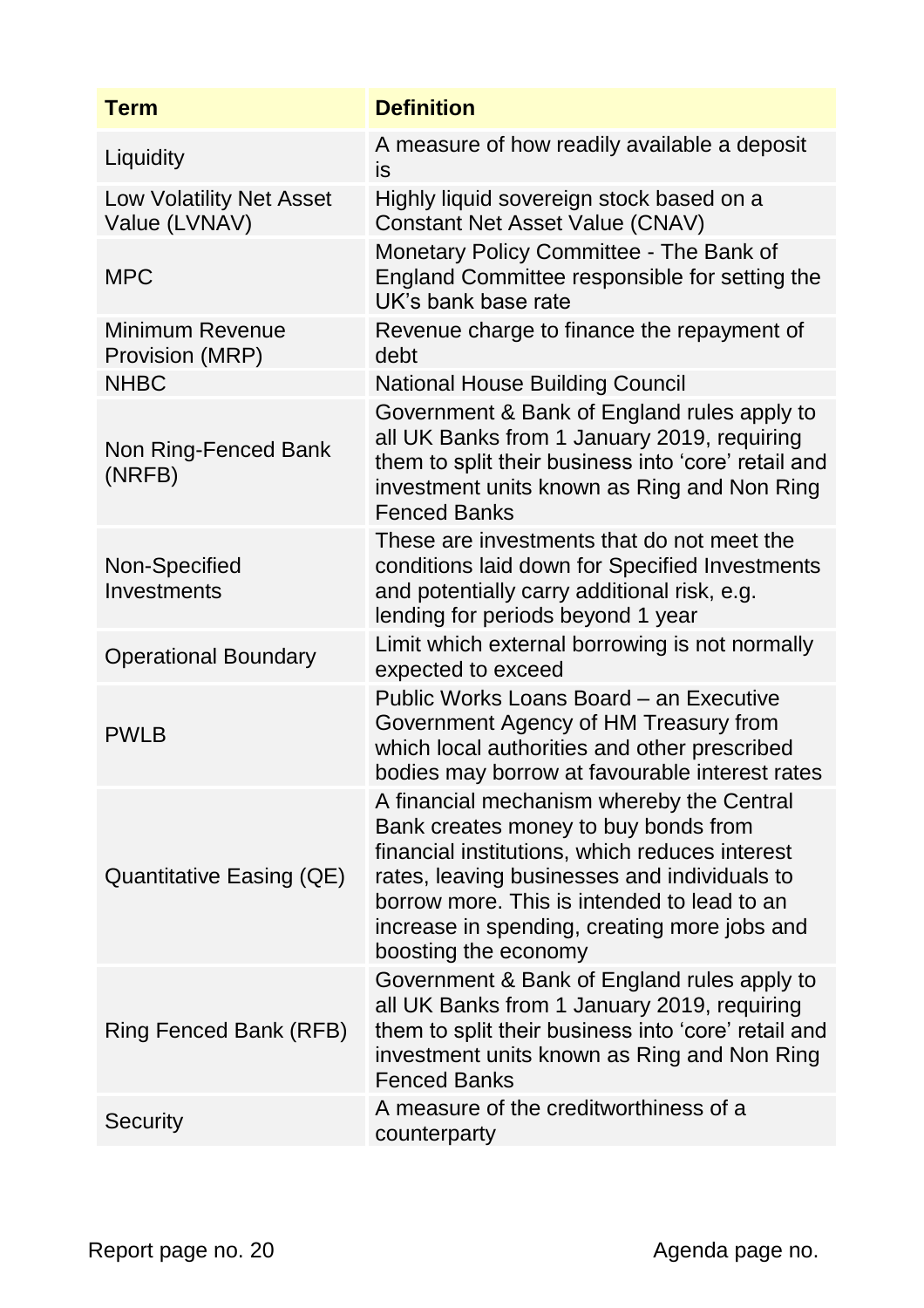| <b>Term</b>                                      | <b>Definition</b>                                                                                                                                                                                                                                                                                          |
|--------------------------------------------------|------------------------------------------------------------------------------------------------------------------------------------------------------------------------------------------------------------------------------------------------------------------------------------------------------------|
| Liquidity                                        | A measure of how readily available a deposit<br>is                                                                                                                                                                                                                                                         |
| <b>Low Volatility Net Asset</b><br>Value (LVNAV) | Highly liquid sovereign stock based on a<br>Constant Net Asset Value (CNAV)                                                                                                                                                                                                                                |
| <b>MPC</b>                                       | Monetary Policy Committee - The Bank of<br>England Committee responsible for setting the<br>UK's bank base rate                                                                                                                                                                                            |
| <b>Minimum Revenue</b><br>Provision (MRP)        | Revenue charge to finance the repayment of<br>debt                                                                                                                                                                                                                                                         |
| <b>NHBC</b>                                      | <b>National House Building Council</b>                                                                                                                                                                                                                                                                     |
| Non Ring-Fenced Bank<br>(NRFB)                   | Government & Bank of England rules apply to<br>all UK Banks from 1 January 2019, requiring<br>them to split their business into 'core' retail and<br>investment units known as Ring and Non Ring<br><b>Fenced Banks</b>                                                                                    |
| Non-Specified<br>Investments                     | These are investments that do not meet the<br>conditions laid down for Specified Investments<br>and potentially carry additional risk, e.g.<br>lending for periods beyond 1 year                                                                                                                           |
| <b>Operational Boundary</b>                      | Limit which external borrowing is not normally<br>expected to exceed                                                                                                                                                                                                                                       |
| <b>PWLB</b>                                      | Public Works Loans Board - an Executive<br>Government Agency of HM Treasury from<br>which local authorities and other prescribed<br>bodies may borrow at favourable interest rates                                                                                                                         |
| Quantitative Easing (QE)                         | A financial mechanism whereby the Central<br>Bank creates money to buy bonds from<br>financial institutions, which reduces interest<br>rates, leaving businesses and individuals to<br>borrow more. This is intended to lead to an<br>increase in spending, creating more jobs and<br>boosting the economy |
| Ring Fenced Bank (RFB)                           | Government & Bank of England rules apply to<br>all UK Banks from 1 January 2019, requiring<br>them to split their business into 'core' retail and<br>investment units known as Ring and Non Ring<br><b>Fenced Banks</b>                                                                                    |
| Security                                         | A measure of the creditworthiness of a<br>counterparty                                                                                                                                                                                                                                                     |